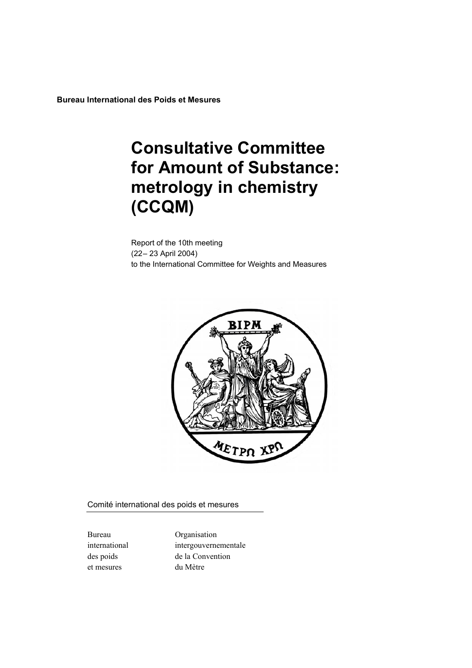**Bureau International des Poids et Mesures** 

# **Consultative Committee for Amount of Substance: metrology in chemistry (CCQM)**

Report of the 10th meeting (22– 23 April 2004) to the International Committee for Weights and Measures



Comité international des poids et mesures

et mesures du Mètre

Bureau Organisation international intergouvernementale des poids de la Convention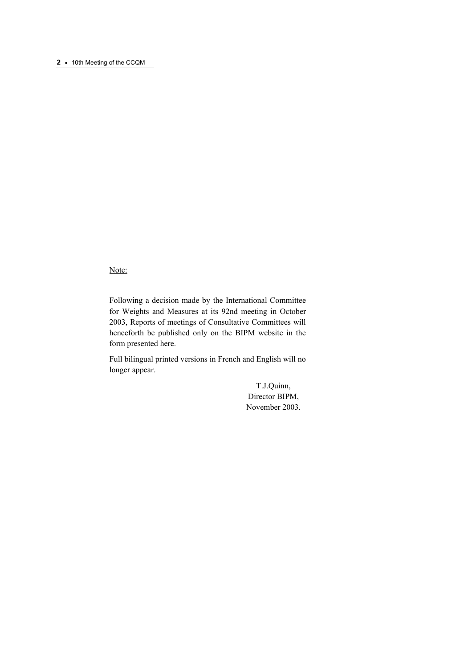#### **2 ·** 10th Meeting of the CCQM

Note:

Following a decision made by the International Committee for Weights and Measures at its 92nd meeting in October 2003, Reports of meetings of Consultative Committees will henceforth be published only on the BIPM website in the form presented here.

Full bilingual printed versions in French and English will no longer appear.

> T.J.Quinn, Director BIPM, November 2003.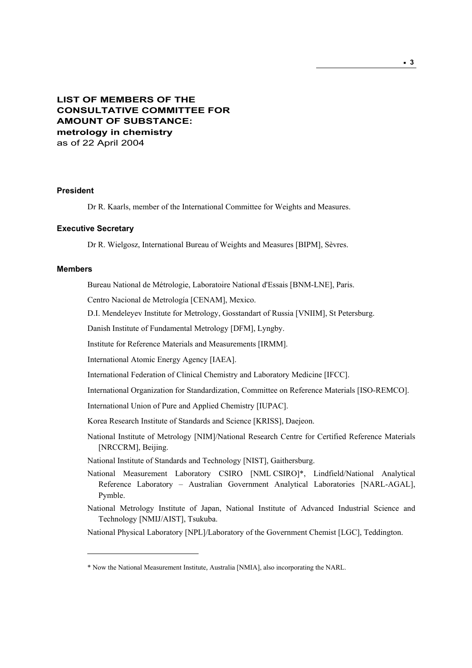# **LIST OF MEMBERS OF THE CONSULTATIVE COMMITTEE FOR AMOUNT OF SUBSTANCE: metrology in chemistry**  as of 22 April 2004

#### **President**

Dr R. Kaarls, member of the International Committee for Weights and Measures.

#### **Executive Secretary**

Dr R. Wielgosz, International Bureau of Weights and Measures [BIPM], Sèvres.

#### **Members**

 $\overline{a}$ 

Bureau National de Métrologie, Laboratoire National d'Essais [BNM-LNE], Paris.

Centro Nacional de Metrología [CENAM], Mexico.

D.I. Mendeleyev Institute for Metrology, Gosstandart of Russia [VNIIM], St Petersburg.

Danish Institute of Fundamental Metrology [DFM], Lyngby.

Institute for Reference Materials and Measurements [IRMM].

International Atomic Energy Agency [IAEA].

International Federation of Clinical Chemistry and Laboratory Medicine [IFCC].

International Organization for Standardization, Committee on Reference Materials [ISO-REMCO].

International Union of Pure and Applied Chemistry [IUPAC].

Korea Research Institute of Standards and Science [KRISS], Daejeon.

National Institute of Metrology [NIM]/National Research Centre for Certified Reference Materials [NRCCRM], Beijing.

National Institute of Standards and Technology [NIST], Gaithersburg.

- National Measurement Laboratory CSIRO [NML CSIRO]\*, Lindfield/National Analytical Reference Laboratory – Australian Government Analytical Laboratories [NARL-AGAL], Pymble.
- National Metrology Institute of Japan, National Institute of Advanced Industrial Science and Technology [NMIJ/AIST], Tsukuba.

National Physical Laboratory [NPL]/Laboratory of the Government Chemist [LGC], Teddington.

<sup>\*</sup> Now the National Measurement Institute, Australia [NMIA], also incorporating the NARL.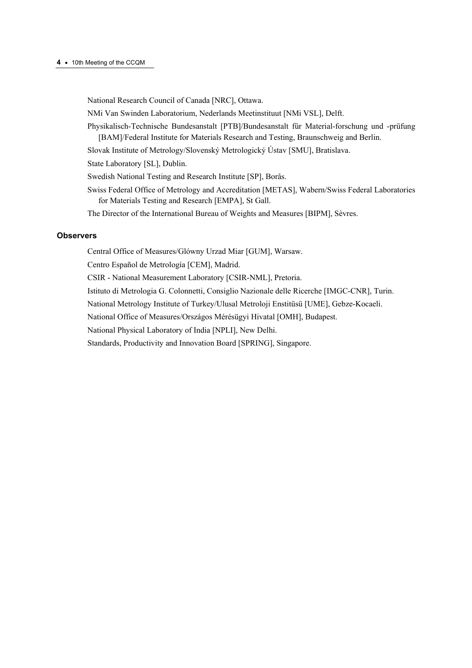#### **4 ·** 10th Meeting of the CCQM

National Research Council of Canada [NRC], Ottawa.

NMi Van Swinden Laboratorium, Nederlands Meetinstituut [NMi VSL], Delft.

Physikalisch-Technische Bundesanstalt [PTB]/Bundesanstalt für Material-forschung und -prüfung [BAM]/Federal Institute for Materials Research and Testing, Braunschweig and Berlin.

Slovak Institute of Metrology/Slovenský Metrologický Ústav [SMU], Bratislava.

State Laboratory [SL], Dublin.

Swedish National Testing and Research Institute [SP], Borås.

Swiss Federal Office of Metrology and Accreditation [METAS], Wabern/Swiss Federal Laboratories for Materials Testing and Research [EMPA], St Gall.

The Director of the International Bureau of Weights and Measures [BIPM], Sèvres.

#### **Observers**

Central Office of Measures/Glόwny Urzad Miar [GUM], Warsaw.

Centro Español de Metrología [CEM], Madrid.

CSIR - National Measurement Laboratory [CSIR-NML], Pretoria.

Istituto di Metrologia G. Colonnetti, Consiglio Nazionale delle Ricerche [IMGC-CNR], Turin.

National Metrology Institute of Turkey/Ulusal Metroloji Enstitüsü [UME], Gebze-Kocaeli.

National Office of Measures/Országos Mérésügyi Hivatal [OMH], Budapest.

National Physical Laboratory of India [NPLI], New Delhi.

Standards, Productivity and Innovation Board [SPRING], Singapore.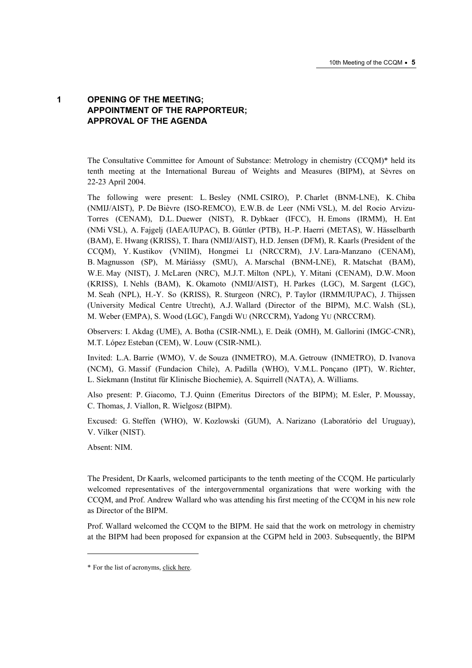# **1 OPENING OF THE MEETING; APPOINTMENT OF THE RAPPORTEUR; APPROVAL OF THE AGENDA**

The Consultative Committee for Amount of Substance: Metrology in chemistry (CCQM)\* held its tenth meeting at the International Bureau of Weights and Measures (BIPM), at Sèvres on 22-23 April 2004.

The following were present: L. Besley (NML CSIRO), P. Charlet (BNM-LNE), K. Chiba (NMIJ/AIST), P. De Bièvre (ISO-REMCO), E.W.B. de Leer (NMi VSL), M. del Rocio Arvizu-Torres (CENAM), D.L. Duewer (NIST), R. Dybkaer (IFCC), H. Emons (IRMM), H. Ent (NMi VSL), A. Fajgelj (IAEA/IUPAC), B. Güttler (PTB), H.-P. Haerri (METAS), W. Hässelbarth (BAM), E. Hwang (KRISS), T. Ihara (NMIJ/AIST), H.D. Jensen (DFM), R. Kaarls (President of the CCQM), Y. Kustikov (VNIIM), Hongmei LI (NRCCRM), J.V. Lara-Manzano (CENAM), B. Magnusson (SP), M. Máriássy (SMU), A. Marschal (BNM-LNE), R. Matschat (BAM), W.E. May (NIST), J. McLaren (NRC), M.J.T. Milton (NPL), Y. Mitani (CENAM), D.W. Moon (KRISS), I. Nehls (BAM), K. Okamoto (NMIJ/AIST), H. Parkes (LGC), M. Sargent (LGC), M. Seah (NPL), H.-Y. So (KRISS), R. Sturgeon (NRC), P. Taylor (IRMM/IUPAC), J. Thijssen (University Medical Centre Utrecht), A.J. Wallard (Director of the BIPM), M.C. Walsh (SL), M. Weber (EMPA), S. Wood (LGC), Fangdi WU (NRCCRM), Yadong YU (NRCCRM).

Observers: I. Akdag (UME), A. Botha (CSIR-NML), E. Deák (OMH), M. Gallorini (IMGC-CNR), M.T. López Esteban (CEM), W. Louw (CSIR-NML).

Invited: L.A. Barrie (WMO), V. de Souza (INMETRO), M.A. Getrouw (INMETRO), D. Ivanova (NCM), G. Massif (Fundacion Chile), A. Padilla (WHO), V.M.L. Ponçano (IPT), W. Richter, L. Siekmann (Institut für Klinische Biochemie), A. Squirrell (NATA), A. Williams.

Also present: P. Giacomo, T.J. Quinn (Emeritus Directors of the BIPM); M. Esler, P. Moussay, C. Thomas, J. Viallon, R. Wielgosz (BIPM).

Excused: G. Steffen (WHO), W. Kozlowski (GUM), A. Narizano (Laboratório del Uruguay), V. Vilker (NIST).

Absent: NIM.

 $\overline{a}$ 

The President, Dr Kaarls, welcomed participants to the tenth meeting of the CCQM. He particularly welcomed representatives of the intergovernmental organizations that were working with the CCQM, and Prof. Andrew Wallard who was attending his first meeting of the CCQM in his new role as Director of the BIPM.

Prof. Wallard welcomed the CCQM to the BIPM. He said that the work on metrology in chemistry at the BIPM had been proposed for expansion at the CGPM held in 2003. Subsequently, the BIPM

<sup>\*</sup> For the list of acronyms, click here.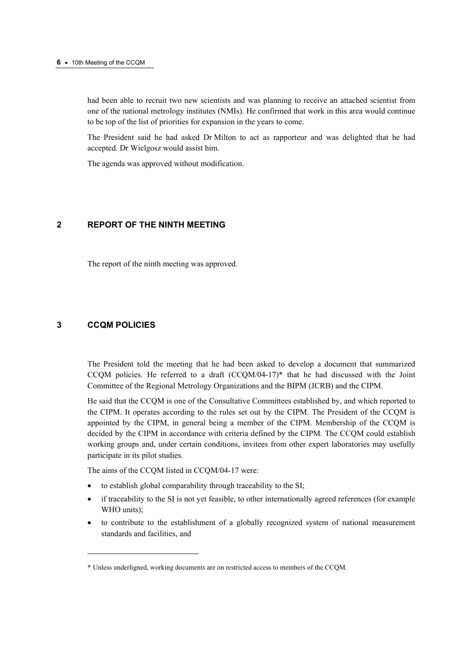#### **6 ·** 10th Meeting of the CCQM

had been able to recruit two new scientists and was planning to receive an attached scientist from one of the national metrology institutes (NMIs). He confirmed that work in this area would continue to be top of the list of priorities for expansion in the years to come.

The President said he had asked Dr Milton to act as rapporteur and was delighted that he had accepted. Dr Wielgosz would assist him.

The agenda was approved without modification.

## **2 REPORT OF THE NINTH MEETING**

The report of the ninth meeting was approved.

## **3 CCQM POLICIES**

 $\overline{a}$ 

The President told the meeting that he had been asked to develop a document that summarized CCQM policies. He referred to a draft  $(CCQM/04-17)*$  that he had discussed with the Joint Committee of the Regional Metrology Organizations and the BIPM (JCRB) and the CIPM.

He said that the CCQM is one of the Consultative Committees established by, and which reported to the CIPM. It operates according to the rules set out by the CIPM. The President of the CCQM is appointed by the CIPM, in general being a member of the CIPM. Membership of the CCQM is decided by the CIPM in accordance with criteria defined by the CIPM. The CCQM could establish working groups and, under certain conditions, invitees from other expert laboratories may usefully participate in its pilot studies.

The aims of the CCQM listed in CCQM/04-17 were:

- to establish global comparability through traceability to the SI;
- if traceability to the SI is not yet feasible, to other internationally agreed references (for example WHO units):
- to contribute to the establishment of a globally recognized system of national measurement standards and facilities, and

<sup>\*</sup> Unless underligned, working documents are on restricted access to members of the CCQM.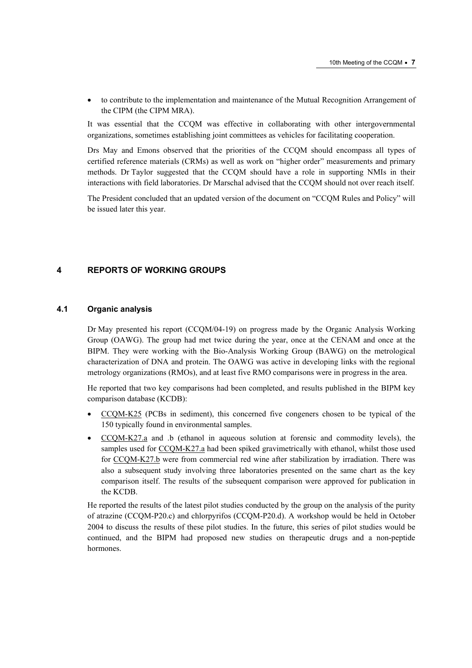• to contribute to the implementation and maintenance of the Mutual Recognition Arrangement of the CIPM (the CIPM MRA).

It was essential that the CCQM was effective in collaborating with other intergovernmental organizations, sometimes establishing joint committees as vehicles for facilitating cooperation.

Drs May and Emons observed that the priorities of the CCQM should encompass all types of certified reference materials (CRMs) as well as work on "higher order" measurements and primary methods. Dr Taylor suggested that the CCQM should have a role in supporting NMIs in their interactions with field laboratories. Dr Marschal advised that the CCQM should not over reach itself.

The President concluded that an updated version of the document on "CCQM Rules and Policy" will be issued later this year.

## **4 REPORTS OF WORKING GROUPS**

## **4.1 Organic analysis**

Dr May presented his report (CCQM/04-19) on progress made by the Organic Analysis Working Group (OAWG). The group had met twice during the year, once at the CENAM and once at the BIPM. They were working with the Bio-Analysis Working Group (BAWG) on the metrological characterization of DNA and protein. The OAWG was active in developing links with the regional metrology organizations (RMOs), and at least five RMO comparisons were in progress in the area.

He reported that two key comparisons had been completed, and results published in the BIPM key comparison database (KCDB):

- [CCQM-K25 \(PCBs](http://kcdb.bipm.org/AppendixB/KCDB_ApB_search_result.asp?search=2&cmp_cod_search=CCQM-K25&match_exact=0) in sediment), this concerned five congeners chosen to be typical of the 150 typically found in environmental samples.
- [CCQM-K27.a a](http://kcdb.bipm.org/AppendixB/KCDB_ApB_info.asp?cmp_idy=179&cmp_cod=CCQM%2DK27%2Ea&page=1&search=2&cmp_cod_search=CCQM%2DK27&met_idy=&bra_idy=&epo_idy=&cmt_idy=&ett_idy_org=&lab_idy=)nd .b (ethanol in aqueous solution at forensic and commodity levels), the samples used for [CCQM-K27.a ha](http://kcdb.bipm.org/AppendixB/KCDB_ApB_info.asp?cmp_idy=179&cmp_cod=CCQM%2DK27%2Ea&page=1&search=2&cmp_cod_search=CCQM%2DK27&met_idy=&bra_idy=&epo_idy=&cmt_idy=&ett_idy_org=&lab_idy=)d been spiked gravimetrically with ethanol, whilst those used fo[r CCQM-K27.b w](http://kcdb.bipm.org/AppendixB/KCDB_ApB_info.asp?cmp_idy=180&cmp_cod=CCQM%2DK27%2Eb&page=1&search=2&cmp_cod_search=CCQM%2DK27&met_idy=&bra_idy=&epo_idy=&cmt_idy=&ett_idy_org=&lab_idy=)ere from commercial red wine after stabilization by irradiation. There was also a subsequent study involving three laboratories presented on the same chart as the key comparison itself. The results of the subsequent comparison were approved for publication in the KCDB.

He reported the results of the latest pilot studies conducted by the group on the analysis of the purity of atrazine (CCQM-P20.c) and chlorpyrifos (CCQM-P20.d). A workshop would be held in October 2004 to discuss the results of these pilot studies. In the future, this series of pilot studies would be continued, and the BIPM had proposed new studies on therapeutic drugs and a non-peptide hormones.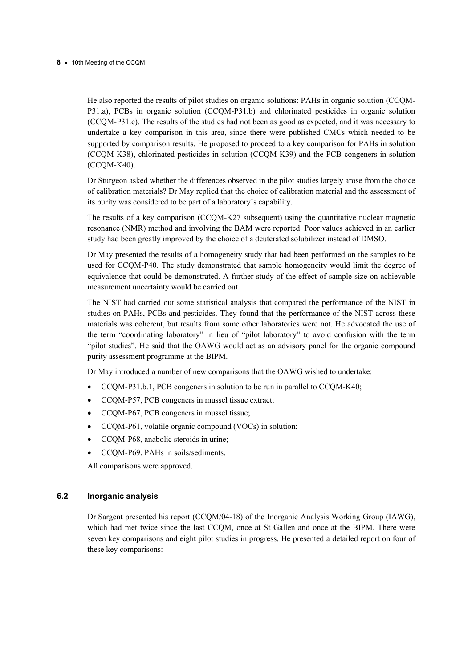He also reported the results of pilot studies on organic solutions: PAHs in organic solution (CCQM-P31.a), PCBs in organic solution (CCQM-P31.b) and chlorinated pesticides in organic solution (CCQM-P31.c). The results of the studies had not been as good as expected, and it was necessary to undertake a key comparison in this area, since there were published CMCs which needed to be supported by comparison results. He proposed to proceed to a key comparison for PAHs in solution [\(CCQM-K38\), c](http://kcdb.bipm.org/AppendixB/KCDB_ApB_info.asp?cmp_idy=633&cmp_cod=CCQM%2DK38&page=1&search=2&cmp_cod_search=CCQM%2DK38&met_idy=&bra_idy=&epo_idy=&cmt_idy=&ett_idy_org=&lab_idy=)hlorinated pesticides in soluti[on \(CCQM-K39\) and th](http://kcdb.bipm.org/AppendixB/KCDB_ApB_info.asp?cmp_idy=634&cmp_cod=CCQM%2DK39&page=1&search=2&cmp_cod_search=CCQM%2DK39&met_idy=&bra_idy=&epo_idy=&cmt_idy=&ett_idy_org=&lab_idy=)e PCB congeners in solution [\(CCQM-K40\).](http://kcdb.bipm.org/AppendixB/KCDB_ApB_info.asp?cmp_idy=635&cmp_cod=CCQM%2DK40&page=1&search=2&cmp_cod_search=CCQM%2DK40&met_idy=&bra_idy=&epo_idy=&cmt_idy=&ett_idy_org=&lab_idy=) 

Dr Sturgeon asked whether the differences observed in the pilot studies largely arose from the choice of calibration materials? Dr May replied that the choice of calibration material and the assessment of its purity was considered to be part of a laboratory's capability.

The results of a key comparis[on \(CCQM-K27 subse](http://kcdb.bipm.org/AppendixB/KCDB_ApB_search_result.asp?search=2&cmp_cod_search=CCQM-K27&match_exact=0)quent) using the quantitative nuclear magnetic resonance (NMR) method and involving the BAM were reported. Poor values achieved in an earlier study had been greatly improved by the choice of a deuterated solubilizer instead of DMSO.

Dr May presented the results of a homogeneity study that had been performed on the samples to be used for CCQM-P40. The study demonstrated that sample homogeneity would limit the degree of equivalence that could be demonstrated. A further study of the effect of sample size on achievable measurement uncertainty would be carried out.

The NIST had carried out some statistical analysis that compared the performance of the NIST in studies on PAHs, PCBs and pesticides. They found that the performance of the NIST across these materials was coherent, but results from some other laboratories were not. He advocated the use of the term "coordinating laboratory" in lieu of "pilot laboratory" to avoid confusion with the term "pilot studies". He said that the OAWG would act as an advisory panel for the organic compound purity assessment programme at the BIPM.

Dr May introduced a number of new comparisons that the OAWG wished to undertake:

- CCQM-P31.b.1, PCB congeners in solution to be run in parallel [to CCQM-K40;](http://kcdb.bipm.org/AppendixB/KCDB_ApB_info.asp?cmp_idy=635&cmp_cod=CCQM%2DK40&page=1&search=2&cmp_cod_search=CCQM%2DK40&met_idy=&bra_idy=&epo_idy=&cmt_idy=&ett_idy_org=&lab_idy=)
- CCQM-P57, PCB congeners in mussel tissue extract;
- CCQM-P67, PCB congeners in mussel tissue;
- CCQM-P61, volatile organic compound (VOCs) in solution;
- CCOM-P68, anabolic steroids in urine:
- CCQM-P69, PAHs in soils/sediments.

All comparisons were approved.

#### **6.2 Inorganic analysis**

Dr Sargent presented his report (CCQM/04-18) of the Inorganic Analysis Working Group (IAWG), which had met twice since the last CCQM, once at St Gallen and once at the BIPM. There were seven key comparisons and eight pilot studies in progress. He presented a detailed report on four of these key comparisons: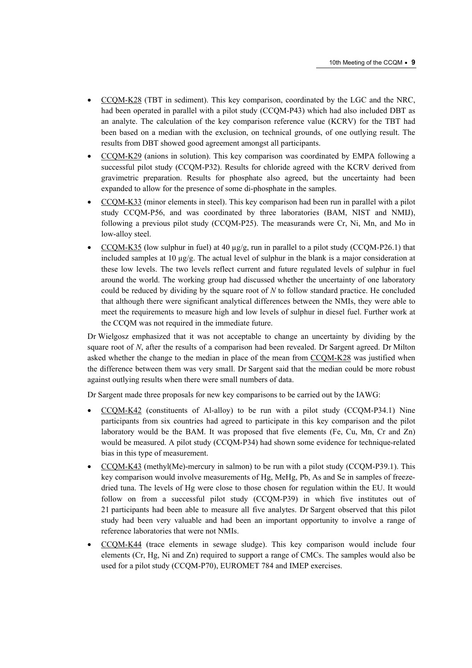- [CCQM-K28 \(TBT](http://kcdb.bipm.org/AppendixB/KCDB_ApB_info.asp?cmp_idy=181&cmp_cod=CCQM%2DK28&page=1&search=2&cmp_cod_search=CCQM%2DK28&met_idy=&bra_idy=&epo_idy=&cmt_idy=&ett_idy_org=&lab_idy=) in sediment). This key comparison, coordinated by the LGC and the NRC, had been operated in parallel with a pilot study (CCQM-P43) which had also included DBT as an analyte. The calculation of the key comparison reference value (KCRV) for the TBT had been based on a median with the exclusion, on technical grounds, of one outlying result. The results from DBT showed good agreement amongst all participants.
- [CCQM-K29 \(anio](http://kcdb.bipm.org/AppendixB/KCDB_ApB_info.asp?cmp_idy=182&cmp_cod=CCQM%2DK29&page=1&search=2&cmp_cod_search=CCQM%2DK29&met_idy=&bra_idy=&epo_idy=&cmt_idy=&ett_idy_org=&lab_idy=)ns in solution). This key comparison was coordinated by EMPA following a successful pilot study (CCQM-P32). Results for chloride agreed with the KCRV derived from gravimetric preparation. Results for phosphate also agreed, but the uncertainty had been expanded to allow for the presence of some di-phosphate in the samples.
- [CCQM-K33 \(minor e](http://kcdb.bipm.org/AppendixB/KCDB_ApB_info.asp?cmp_idy=547&cmp_cod=CCQM%2DK33&page=1&search=2&cmp_cod_search=CCQM%2DK33&met_idy=&bra_idy=&epo_idy=&cmt_idy=&ett_idy_org=&lab_idy=)lements in steel). This key comparison had been run in parallel with a pilot study CCQM-P56, and was coordinated by three laboratories (BAM, NIST and NMIJ), following a previous pilot study (CCQM-P25). The measurands were Cr, Ni, Mn, and Mo in low-alloy steel.
- [CCQM-K35 \(low sul](http://kcdb.bipm.org/AppendixB/KCDB_ApB_info.asp?cmp_idy=548&cmp_cod=CCQM%2DK35&page=1&search=2&cmp_cod_search=CCQM%2DK35&met_idy=&bra_idy=&epo_idy=&cmt_idy=&ett_idy_org=&lab_idy=)phur in fuel) at 40  $\mu$ g/g, run in parallel to a pilot study (CCQM-P26.1) that included samples at 10  $\mu$ g/g. The actual level of sulphur in the blank is a major consideration at these low levels. The two levels reflect current and future regulated levels of sulphur in fuel around the world. The working group had discussed whether the uncertainty of one laboratory could be reduced by dividing by the square root of *N* to follow standard practice. He concluded that although there were significant analytical differences between the NMIs, they were able to meet the requirements to measure high and low levels of sulphur in diesel fuel. Further work at the CCQM was not required in the immediate future.

Dr Wielgosz emphasized that it was not acceptable to change an uncertainty by dividing by the square root of *N*, after the results of a comparison had been revealed. Dr Sargent agreed. Dr Milton asked whether the change to the median in place of the mean fro[m CCQM-K28 was jus](http://kcdb.bipm.org/AppendixB/KCDB_ApB_info.asp?cmp_idy=181&cmp_cod=CCQM%2DK28&page=1&search=2&cmp_cod_search=CCQM%2DK28&met_idy=&bra_idy=&epo_idy=&cmt_idy=&ett_idy_org=&lab_idy=)tified when the difference between them was very small. Dr Sargent said that the median could be more robust against outlying results when there were small numbers of data.

Dr Sargent made three proposals for new key comparisons to be carried out by the IAWG:

- [CCQM-K42 \(con](http://kcdb.bipm.org/AppendixB/KCDB_ApB_info.asp?cmp_idy=637&cmp_cod=CCQM%2DK42&page=1&search=2&cmp_cod_search=CCQM%2DK42&met_idy=&bra_idy=&epo_idy=&cmt_idy=&ett_idy_org=&lab_idy=)stituents of Al-alloy) to be run with a pilot study (CCQM-P34.1) Nine participants from six countries had agreed to participate in this key comparison and the pilot laboratory would be the BAM. It was proposed that five elements (Fe, Cu, Mn, Cr and Zn) would be measured. A pilot study (CCQM-P34) had shown some evidence for technique-related bias in this type of measurement.
- [CCQM-K43 \(met](http://kcdb.bipm.org/AppendixB/KCDB_ApB_info.asp?cmp_idy=638&cmp_cod=CCQM%2DK43&page=1&search=2&cmp_cod_search=CCQM%2DK43&met_idy=&bra_idy=&epo_idy=&cmt_idy=&ett_idy_org=&lab_idy=)hyl(Me)-mercury in salmon) to be run with a pilot study (CCQM-P39.1). This key comparison would involve measurements of Hg, MeHg, Pb, As and Se in samples of freezedried tuna. The levels of Hg were close to those chosen for regulation within the EU. It would follow on from a successful pilot study (CCQM-P39) in which five institutes out of 21 participants had been able to measure all five analytes. Dr Sargent observed that this pilot study had been very valuable and had been an important opportunity to involve a range of reference laboratories that were not NMIs.
- [CCQM-K44 \(trace ele](http://kcdb.bipm.org/AppendixB/KCDB_ApB_info.asp?cmp_idy=639&cmp_cod=CCQM%2DK44&page=1&search=2&cmp_cod_search=CCQM%2DK44&met_idy=&bra_idy=&epo_idy=&cmt_idy=&ett_idy_org=&lab_idy=)ments in sewage sludge). This key comparison would include four elements (Cr, Hg, Ni and Zn) required to support a range of CMCs. The samples would also be used for a pilot study (CCQM-P70), EUROMET 784 and IMEP exercises.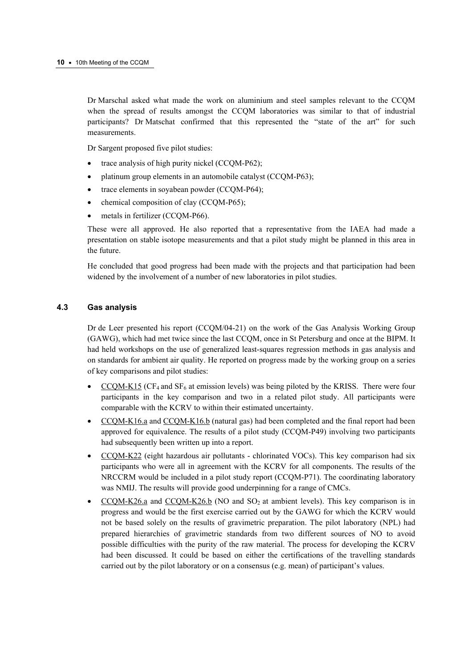Dr Marschal asked what made the work on aluminium and steel samples relevant to the CCQM when the spread of results amongst the CCQM laboratories was similar to that of industrial participants? Dr Matschat confirmed that this represented the "state of the art" for such measurements.

Dr Sargent proposed five pilot studies:

- trace analysis of high purity nickel (CCQM-P62);
- platinum group elements in an automobile catalyst (CCQM-P63);
- trace elements in soyabean powder (CCOM-P64);
- chemical composition of clay (CCQM-P65);
- metals in fertilizer (CCOM-P66).

These were all approved. He also reported that a representative from the IAEA had made a presentation on stable isotope measurements and that a pilot study might be planned in this area in the future.

He concluded that good progress had been made with the projects and that participation had been widened by the involvement of a number of new laboratories in pilot studies.

## **4.3 Gas analysis**

Dr de Leer presented his report (CCQM/04-21) on the work of the Gas Analysis Working Group (GAWG), which had met twice since the last CCQM, once in St Petersburg and once at the BIPM. It had held workshops on the use of generalized least-squares regression methods in gas analysis and on standards for ambient air quality. He reported on progress made by the working group on a series of key comparisons and pilot studies:

- $CCQM-K15$  (CF<sub>4</sub> and SF<sub>6</sub> at emission levels) was being piloted by the KRISS. There were four participants in the key comparison and two in a related pilot study. All participants were comparable with the KCRV to within their estimated uncertainty.
- [CCQM-K16.a and](http://kcdb.bipm.org/AppendixB/KCDB_ApB_info.asp?cmp_idy=165&cmp_cod=CCQM%2DK16%2Ea&page=1&search=2&cmp_cod_search=CCQM%2DK16&met_idy=&bra_idy=&epo_idy=&cmt_idy=&ett_idy_org=&lab_idy=) [CCQM-K16.b \(natu](http://kcdb.bipm.org/AppendixB/KCDB_ApB_info.asp?cmp_idy=167&cmp_cod=CCQM%2DK16%2Eb&page=1&search=2&cmp_cod_search=CCQM%2DK16&met_idy=&bra_idy=&epo_idy=&cmt_idy=&ett_idy_org=&lab_idy=)ral gas) had been completed and the final report had been approved for equivalence. The results of a pilot study (CCQM-P49) involving two participants had subsequently been written up into a report.
- [CCQM-K22 \(eig](http://kcdb.bipm.org/AppendixB/KCDB_ApB_info.asp?cmp_idy=173&cmp_cod=CCQM%2DK22&page=1&search=2&cmp_cod_search=CCQM%2DK22&met_idy=&bra_idy=&epo_idy=&cmt_idy=&ett_idy_org=&lab_idy=)ht hazardous air pollutants chlorinated VOCs). This key comparison had six participants who were all in agreement with the KCRV for all components. The results of the NRCCRM would be included in a pilot study report (CCQM-P71). The coordinating laboratory was NMIJ. The results will provide good underpinning for a range of CMCs.
- $CCOM-K26$ .a and  $CCOM-K26$ .b (NO and SO<sub>2</sub> at ambient levels). This key comparison is in progress and would be the first exercise carried out by the GAWG for which the KCRV would not be based solely on the results of gravimetric preparation. The pilot laboratory (NPL) had prepared hierarchies of gravimetric standards from two different sources of NO to avoid possible difficulties with the purity of the raw material. The process for developing the KCRV had been discussed. It could be based on either the certifications of the travelling standards carried out by the pilot laboratory or on a consensus (e.g. mean) of participant's values.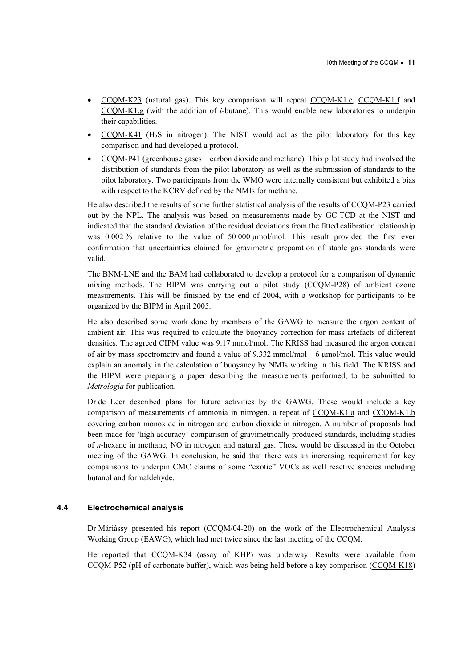- [CCQM-K23 \(na](http://kcdb.bipm.org/AppendixB/KCDB_ApB_info.asp?cmp_idy=174&cmp_cod=CCQM%2DK23&page=1&search=2&cmp_cod_search=CCQM%2DK23&met_idy=&bra_idy=&epo_idy=&cmt_idy=&ett_idy_org=&lab_idy=)tural gas). This key comparison will repeat [CCQM-K1.e,](http://kcdb.bipm.org/AppendixB/KCDB_ApB_info.asp?cmp_idy=150&cmp_cod=CCQM%2DK1%2Ee&page=1&search=2&cmp_cod_search=CCQM%2DK1&met_idy=&bra_idy=&epo_idy=&cmt_idy=&ett_idy_org=&lab_idy=) [CCQM-K1.f an](http://kcdb.bipm.org/AppendixB/KCDB_ApB_info.asp?cmp_idy=151&cmp_cod=CCQM%2DK1%2Ef&page=2&search=2&cmp_cod_search=CCQM%2DK1&met_idy=&bra_idy=&epo_idy=&cmt_idy=&ett_idy_org=&lab_idy=)d [CCQM-K1.g \(wi](http://kcdb.bipm.org/AppendixB/KCDB_ApB_info.asp?cmp_idy=152&cmp_cod=CCQM%2DK1%2Eg&page=2&search=2&cmp_cod_search=CCQM%2DK1&met_idy=&bra_idy=&epo_idy=&cmt_idy=&ett_idy_org=&lab_idy=)th the addition of *i*-butane). This would enable new laboratories to underpin their capabilities.
- [CCQM-K41 \(H2S](http://kcdb.bipm.org/AppendixB/KCDB_ApB_info.asp?cmp_idy=636&cmp_cod=CCQM%2DK41&page=1&search=2&cmp_cod_search=CCQM%2DK41&met_idy=&bra_idy=&epo_idy=&cmt_idy=&ett_idy_org=&lab_idy=) in nitrogen). The NIST would act as the pilot laboratory for this key comparison and had developed a protocol.
- CCQM-P41 (greenhouse gases carbon dioxide and methane). This pilot study had involved the distribution of standards from the pilot laboratory as well as the submission of standards to the pilot laboratory. Two participants from the WMO were internally consistent but exhibited a bias with respect to the KCRV defined by the NMIs for methane.

He also described the results of some further statistical analysis of the results of CCQM-P23 carried out by the NPL. The analysis was based on measurements made by GC-TCD at the NIST and indicated that the standard deviation of the residual deviations from the fitted calibration relationship was 0.002 % relative to the value of 50 000 µmol/mol. This result provided the first ever confirmation that uncertainties claimed for gravimetric preparation of stable gas standards were valid.

The BNM-LNE and the BAM had collaborated to develop a protocol for a comparison of dynamic mixing methods. The BIPM was carrying out a pilot study (CCQM-P28) of ambient ozone measurements. This will be finished by the end of 2004, with a workshop for participants to be organized by the BIPM in April 2005.

He also described some work done by members of the GAWG to measure the argon content of ambient air. This was required to calculate the buoyancy correction for mass artefacts of different densities. The agreed CIPM value was 9.17 mmol/mol. The KRISS had measured the argon content of air by mass spectrometry and found a value of 9.332 mmol/mol  $\pm$  6 µmol/mol. This value would explain an anomaly in the calculation of buoyancy by NMIs working in this field. The KRISS and the BIPM were preparing a paper describing the measurements performed, to be submitted to *Metrologia* for publication.

Dr de Leer described plans for future activities by the GAWG. These would include a key comparison of measurements of ammonia in nitrogen, a repeat [of CCQM-K1.a an](http://kcdb.bipm.org/AppendixB/KCDB_ApB_info.asp?cmp_idy=47&cmp_cod=CCQM%2DK1%2Ea&page=1&search=2&cmp_cod_search=CCQM%2DK1&met_idy=&bra_idy=&epo_idy=&cmt_idy=&ett_idy_org=&lab_idy=)d CCQM-K1.b covering carbon monoxide in nitrogen and carbon dioxide in nitrogen. A number of [proposals had](http://kcdb.bipm.org/AppendixB/KCDB_ApB_info.asp?cmp_idy=48&cmp_cod=CCQM%2DK1%2Eb&page=1&search=2&cmp_cod_search=CCQM%2DK1&met_idy=&bra_idy=&epo_idy=&cmt_idy=&ett_idy_org=&lab_idy=)  been made for 'high accuracy' comparison of gravimetrically produced standards, including studies of *n*-hexane in methane, NO in nitrogen and natural gas. These would be discussed in the October meeting of the GAWG. In conclusion, he said that there was an increasing requirement for key comparisons to underpin CMC claims of some "exotic" VOCs as well reactive species including butanol and formaldehyde.

## **4.4 Electrochemical analysis**

Dr Máriássy presented his report (CCQM/04-20) on the work of the Electrochemical Analysis Working Group (EAWG), which had met twice since the last meeting of the CCQM.

He reported tha[t CCQM-K34 \(assa](http://kcdb.bipm.org/AppendixB/KCDB_ApB_info.asp?cmp_idy=552&cmp_cod=CCQM%2DK34&page=1&search=2&cmp_cod_search=CCQM%2DK34&met_idy=&bra_idy=&epo_idy=&cmt_idy=&ett_idy_org=&lab_idy=)y of KHP) was underway. Results were available from CCQM-P52 (pH of carbonate buffer), which was being held before a key comparis[on \(CCQM-K18\)](http://kcdb.bipm.org/AppendixB/KCDB_ApB_info.asp?cmp_idy=169&cmp_cod=CCQM%2DK18&page=1&search=2&cmp_cod_search=CCQM%2DK18&met_idy=&bra_idy=&epo_idy=&cmt_idy=&ett_idy_org=&lab_idy=)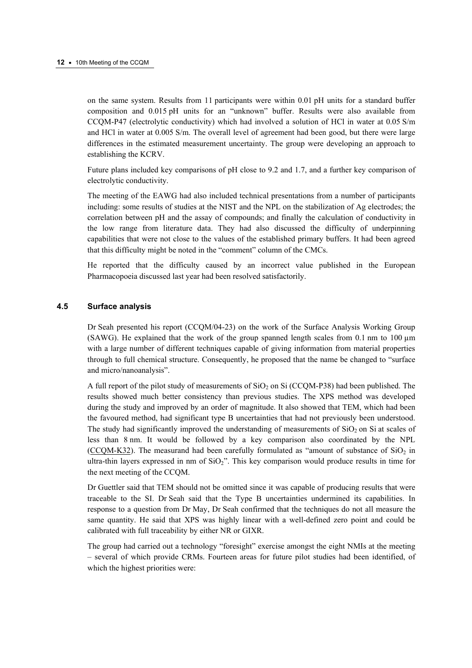on the same system. Results from 11 participants were within 0.01 pH units for a standard buffer composition and 0.015 pH units for an "unknown" buffer. Results were also available from CCQM-P47 (electrolytic conductivity) which had involved a solution of HCl in water at 0.05 S/m and HCl in water at 0.005 S/m. The overall level of agreement had been good, but there were large differences in the estimated measurement uncertainty. The group were developing an approach to establishing the KCRV.

Future plans included key comparisons of pH close to 9.2 and 1.7, and a further key comparison of electrolytic conductivity.

The meeting of the EAWG had also included technical presentations from a number of participants including: some results of studies at the NIST and the NPL on the stabilization of Ag electrodes; the correlation between pH and the assay of compounds; and finally the calculation of conductivity in the low range from literature data. They had also discussed the difficulty of underpinning capabilities that were not close to the values of the established primary buffers. It had been agreed that this difficulty might be noted in the "comment" column of the CMCs.

He reported that the difficulty caused by an incorrect value published in the European Pharmacopoeia discussed last year had been resolved satisfactorily.

## **4.5 Surface analysis**

Dr Seah presented his report (CCQM/04-23) on the work of the Surface Analysis Working Group (SAWG). He explained that the work of the group spanned length scales from  $0.1 \text{ nm}$  to  $100 \mu \text{m}$ with a large number of different techniques capable of giving information from material properties through to full chemical structure. Consequently, he proposed that the name be changed to "surface and micro/nanoanalysis".

A full report of the pilot study of measurements of  $SiO<sub>2</sub>$  on Si (CCQM-P38) had been published. The results showed much better consistency than previous studies. The XPS method was developed during the study and improved by an order of magnitude. It also showed that TEM, which had been the favoured method, had significant type B uncertainties that had not previously been understood. The study had significantly improved the understanding of measurements of  $SiO<sub>2</sub>$  on Si at scales of less than 8 nm. It would be followed by a key comparison also coordinated by the NPL [\(CCQM-K32\). The](http://kcdb.bipm.org/AppendixB/KCDB_ApB_info.asp?cmp_idy=550&cmp_cod=CCQM%2DK32&page=1&search=2&cmp_cod_search=CCQM%2DK32&met_idy=&bra_idy=&epo_idy=&cmt_idy=&ett_idy_org=&lab_idy=) measurand had been carefully formulated as "amount of substance of  $SiO<sub>2</sub>$  in ultra-thin layers expressed in nm of  $SiO<sub>2</sub>$ ". This key comparison would produce results in time for the next meeting of the CCQM.

Dr Guettler said that TEM should not be omitted since it was capable of producing results that were traceable to the SI. Dr Seah said that the Type B uncertainties undermined its capabilities. In response to a question from Dr May, Dr Seah confirmed that the techniques do not all measure the same quantity. He said that XPS was highly linear with a well-defined zero point and could be calibrated with full traceability by either NR or GIXR.

The group had carried out a technology "foresight" exercise amongst the eight NMIs at the meeting – several of which provide CRMs. Fourteen areas for future pilot studies had been identified, of which the highest priorities were: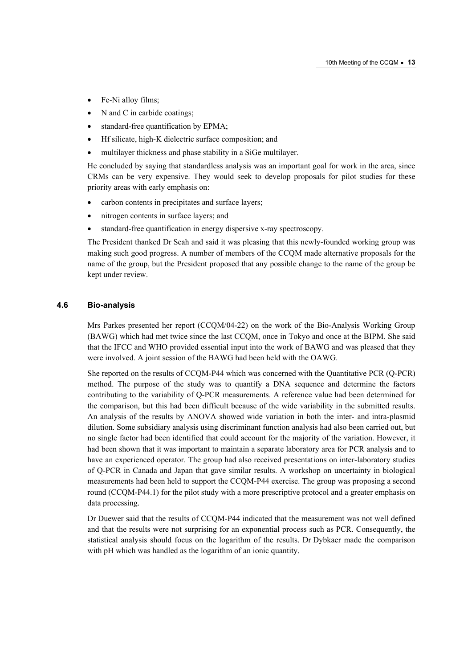- Fe-Ni alloy films;
- N and C in carbide coatings;
- standard-free quantification by EPMA;
- Hf silicate, high-K dielectric surface composition; and
- multilayer thickness and phase stability in a SiGe multilayer.

He concluded by saying that standardless analysis was an important goal for work in the area, since CRMs can be very expensive. They would seek to develop proposals for pilot studies for these priority areas with early emphasis on:

- carbon contents in precipitates and surface layers;
- nitrogen contents in surface layers; and
- standard-free quantification in energy dispersive x-ray spectroscopy.

The President thanked Dr Seah and said it was pleasing that this newly-founded working group was making such good progress. A number of members of the CCQM made alternative proposals for the name of the group, but the President proposed that any possible change to the name of the group be kept under review.

## **4.6 Bio-analysis**

Mrs Parkes presented her report (CCQM/04-22) on the work of the Bio-Analysis Working Group (BAWG) which had met twice since the last CCQM, once in Tokyo and once at the BIPM. She said that the IFCC and WHO provided essential input into the work of BAWG and was pleased that they were involved. A joint session of the BAWG had been held with the OAWG.

She reported on the results of CCQM-P44 which was concerned with the Quantitative PCR (Q-PCR) method. The purpose of the study was to quantify a DNA sequence and determine the factors contributing to the variability of Q-PCR measurements. A reference value had been determined for the comparison, but this had been difficult because of the wide variability in the submitted results. An analysis of the results by ANOVA showed wide variation in both the inter- and intra-plasmid dilution. Some subsidiary analysis using discriminant function analysis had also been carried out, but no single factor had been identified that could account for the majority of the variation. However, it had been shown that it was important to maintain a separate laboratory area for PCR analysis and to have an experienced operator. The group had also received presentations on inter-laboratory studies of Q-PCR in Canada and Japan that gave similar results. A workshop on uncertainty in biological measurements had been held to support the CCQM-P44 exercise. The group was proposing a second round (CCQM-P44.1) for the pilot study with a more prescriptive protocol and a greater emphasis on data processing.

Dr Duewer said that the results of CCQM-P44 indicated that the measurement was not well defined and that the results were not surprising for an exponential process such as PCR. Consequently, the statistical analysis should focus on the logarithm of the results. Dr Dybkaer made the comparison with pH which was handled as the logarithm of an ionic quantity.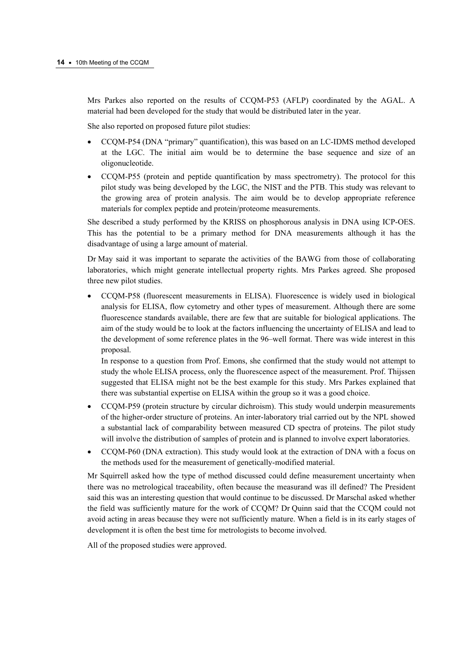Mrs Parkes also reported on the results of CCQM-P53 (AFLP) coordinated by the AGAL. A material had been developed for the study that would be distributed later in the year.

She also reported on proposed future pilot studies:

- CCQM-P54 (DNA "primary" quantification), this was based on an LC-IDMS method developed at the LGC. The initial aim would be to determine the base sequence and size of an oligonucleotide.
- CCQM-P55 (protein and peptide quantification by mass spectrometry). The protocol for this pilot study was being developed by the LGC, the NIST and the PTB. This study was relevant to the growing area of protein analysis. The aim would be to develop appropriate reference materials for complex peptide and protein/proteome measurements.

She described a study performed by the KRISS on phosphorous analysis in DNA using ICP-OES. This has the potential to be a primary method for DNA measurements although it has the disadvantage of using a large amount of material.

Dr May said it was important to separate the activities of the BAWG from those of collaborating laboratories, which might generate intellectual property rights. Mrs Parkes agreed. She proposed three new pilot studies.

• CCQM-P58 (fluorescent measurements in ELISA). Fluorescence is widely used in biological analysis for ELISA, flow cytometry and other types of measurement. Although there are some fluorescence standards available, there are few that are suitable for biological applications. The aim of the study would be to look at the factors influencing the uncertainty of ELISA and lead to the development of some reference plates in the 96–well format. There was wide interest in this proposal.

In response to a question from Prof. Emons, she confirmed that the study would not attempt to study the whole ELISA process, only the fluorescence aspect of the measurement. Prof. Thijssen suggested that ELISA might not be the best example for this study. Mrs Parkes explained that there was substantial expertise on ELISA within the group so it was a good choice.

- CCQM-P59 (protein structure by circular dichroism). This study would underpin measurements of the higher-order structure of proteins. An inter-laboratory trial carried out by the NPL showed a substantial lack of comparability between measured CD spectra of proteins. The pilot study will involve the distribution of samples of protein and is planned to involve expert laboratories.
- CCQM-P60 (DNA extraction). This study would look at the extraction of DNA with a focus on the methods used for the measurement of genetically-modified material.

Mr Squirrell asked how the type of method discussed could define measurement uncertainty when there was no metrological traceability, often because the measurand was ill defined? The President said this was an interesting question that would continue to be discussed. Dr Marschal asked whether the field was sufficiently mature for the work of CCQM? Dr Quinn said that the CCQM could not avoid acting in areas because they were not sufficiently mature. When a field is in its early stages of development it is often the best time for metrologists to become involved.

All of the proposed studies were approved.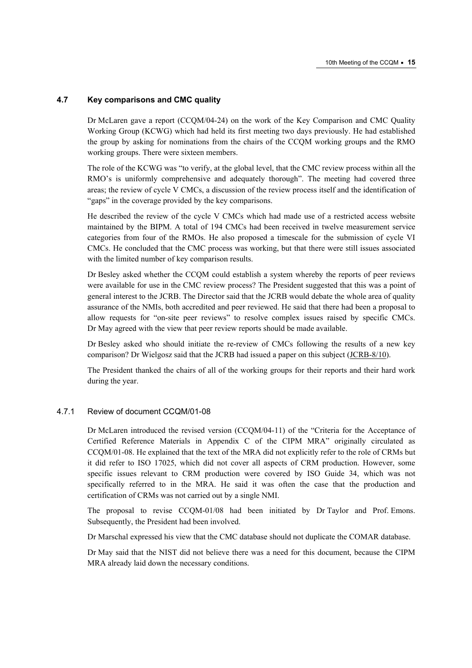## **4.7 Key comparisons and CMC quality**

Dr McLaren gave a report (CCQM/04-24) on the work of the Key Comparison and CMC Quality Working Group (KCWG) which had held its first meeting two days previously. He had established the group by asking for nominations from the chairs of the CCQM working groups and the RMO working groups. There were sixteen members.

The role of the KCWG was "to verify, at the global level, that the CMC review process within all the RMO's is uniformly comprehensive and adequately thorough". The meeting had covered three areas; the review of cycle V CMCs, a discussion of the review process itself and the identification of "gaps" in the coverage provided by the key comparisons.

He described the review of the cycle V CMCs which had made use of a restricted access website maintained by the BIPM. A total of 194 CMCs had been received in twelve measurement service categories from four of the RMOs. He also proposed a timescale for the submission of cycle VI CMCs. He concluded that the CMC process was working, but that there were still issues associated with the limited number of key comparison results.

Dr Besley asked whether the CCQM could establish a system whereby the reports of peer reviews were available for use in the CMC review process? The President suggested that this was a point of general interest to the JCRB. The Director said that the JCRB would debate the whole area of quality assurance of the NMIs, both accredited and peer reviewed. He said that there had been a proposal to allow requests for "on-site peer reviews" to resolve complex issues raised by specific CMCs. Dr May agreed with the view that peer review reports should be made available.

Dr Besley asked who should initiate the re-review of CMCs following the results of a new key comparison? Dr Wielgosz said that the JCRB had issued a paper on this subje[ct \(JCRB-8/10\).](https://www.bipm.org/utils/common/documents/jcrb/modifying_cmcs.pdf) 

The President thanked the chairs of all of the working groups for their reports and their hard work during the year.

## 4.7.1 Review of document CCQM/01-08

Dr McLaren introduced the revised version (CCQM/04-11) of the "Criteria for the Acceptance of Certified Reference Materials in Appendix C of the CIPM MRA" originally circulated as CCQM/01-08. He explained that the text of the MRA did not explicitly refer to the role of CRMs but it did refer to ISO 17025, which did not cover all aspects of CRM production. However, some specific issues relevant to CRM production were covered by ISO Guide 34, which was not specifically referred to in the MRA. He said it was often the case that the production and certification of CRMs was not carried out by a single NMI.

The proposal to revise CCQM-01/08 had been initiated by Dr Taylor and Prof. Emons. Subsequently, the President had been involved.

Dr Marschal expressed his view that the CMC database should not duplicate the COMAR database.

Dr May said that the NIST did not believe there was a need for this document, because the CIPM MRA already laid down the necessary conditions.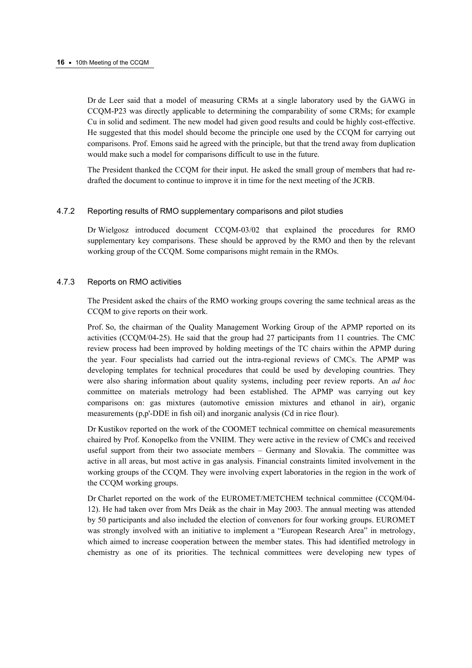Dr de Leer said that a model of measuring CRMs at a single laboratory used by the GAWG in CCQM-P23 was directly applicable to determining the comparability of some CRMs; for example Cu in solid and sediment. The new model had given good results and could be highly cost-effective. He suggested that this model should become the principle one used by the CCQM for carrying out comparisons. Prof. Emons said he agreed with the principle, but that the trend away from duplication would make such a model for comparisons difficult to use in the future.

The President thanked the CCQM for their input. He asked the small group of members that had redrafted the document to continue to improve it in time for the next meeting of the JCRB.

## 4.7.2 Reporting results of RMO supplementary comparisons and pilot studies

Dr Wielgosz introduced document CCQM-03/02 that explained the procedures for RMO supplementary key comparisons. These should be approved by the RMO and then by the relevant working group of the CCQM. Some comparisons might remain in the RMOs.

## 4.7.3 Reports on RMO activities

The President asked the chairs of the RMO working groups covering the same technical areas as the CCQM to give reports on their work.

Prof. So, the chairman of the Quality Management Working Group of the APMP reported on its activities (CCQM/04-25). He said that the group had 27 participants from 11 countries. The CMC review process had been improved by holding meetings of the TC chairs within the APMP during the year. Four specialists had carried out the intra-regional reviews of CMCs. The APMP was developing templates for technical procedures that could be used by developing countries. They were also sharing information about quality systems, including peer review reports. An *ad hoc* committee on materials metrology had been established. The APMP was carrying out key comparisons on: gas mixtures (automotive emission mixtures and ethanol in air), organic measurements (p,p'-DDE in fish oil) and inorganic analysis (Cd in rice flour).

Dr Kustikov reported on the work of the COOMET technical committee on chemical measurements chaired by Prof. Konopelko from the VNIIM. They were active in the review of CMCs and received useful support from their two associate members – Germany and Slovakia. The committee was active in all areas, but most active in gas analysis. Financial constraints limited involvement in the working groups of the CCQM. They were involving expert laboratories in the region in the work of the CCQM working groups.

Dr Charlet reported on the work of the EUROMET/METCHEM technical committee (CCQM/04- 12). He had taken over from Mrs Deák as the chair in May 2003. The annual meeting was attended by 50 participants and also included the election of convenors for four working groups. EUROMET was strongly involved with an initiative to implement a "European Research Area" in metrology, which aimed to increase cooperation between the member states. This had identified metrology in chemistry as one of its priorities. The technical committees were developing new types of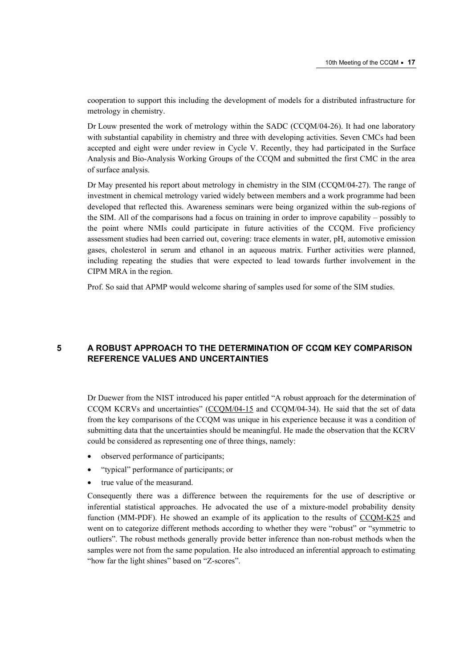cooperation to support this including the development of models for a distributed infrastructure for metrology in chemistry.

Dr Louw presented the work of metrology within the SADC (CCQM/04-26). It had one laboratory with substantial capability in chemistry and three with developing activities. Seven CMCs had been accepted and eight were under review in Cycle V. Recently, they had participated in the Surface Analysis and Bio-Analysis Working Groups of the CCQM and submitted the first CMC in the area of surface analysis.

Dr May presented his report about metrology in chemistry in the SIM (CCQM/04-27). The range of investment in chemical metrology varied widely between members and a work programme had been developed that reflected this. Awareness seminars were being organized within the sub-regions of the SIM. All of the comparisons had a focus on training in order to improve capability – possibly to the point where NMIs could participate in future activities of the CCQM. Five proficiency assessment studies had been carried out, covering: trace elements in water, pH, automotive emission gases, cholesterol in serum and ethanol in an aqueous matrix. Further activities were planned, including repeating the studies that were expected to lead towards further involvement in the CIPM MRA in the region.

Prof. So said that APMP would welcome sharing of samples used for some of the SIM studies.

# **5 A ROBUST APPROACH TO THE DETERMINATION OF CCQM KEY COMPARISON REFERENCE VALUES AND UNCERTAINTIES**

Dr Duewer from the NIST introduced his paper entitled "A robust approach for the determination of CCQM KCRVs and uncertainties[" \(CCQM/04-15 and](https://www.bipm.org/cc/CCQM/Allowed/10/CCQM04-15.pdf) CCQM/04-34). He said that the set of data from the key comparisons of the CCQM was unique in his experience because it was a condition of submitting data that the uncertainties should be meaningful. He made the observation that the KCRV could be considered as representing one of three things, namely:

- observed performance of participants;
- "typical" performance of participants; or
- true value of the measurand.

Consequently there was a difference between the requirements for the use of descriptive or inferential statistical approaches. He advocated the use of a mixture-model probability density function (MM-PDF). He showed an example of its application to the results of CCQM-K25 and went on to categorize different methods according to whether they were "robu[st" or "symmetric to](http://kcdb.bipm.org/AppendixB/KCDB_ApB_info.asp?cmp_idy=176&cmp_cod=CCQM%2DK25&page=1&search=2&cmp_cod_search=CCQM%2DK25&met_idy=&bra_idy=&epo_idy=&cmt_idy=&ett_idy_org=&lab_idy=)  outliers". The robust methods generally provide better inference than non-robust methods when the samples were not from the same population. He also introduced an inferential approach to estimating "how far the light shines" based on "Z-scores".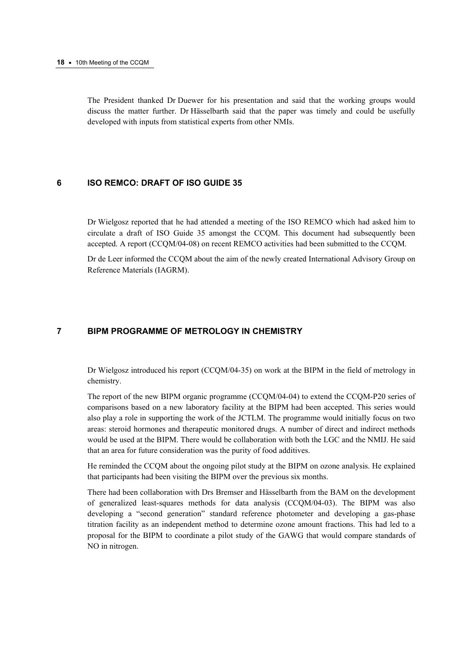#### **18 ·** 10th Meeting of the CCQM

The President thanked Dr Duewer for his presentation and said that the working groups would discuss the matter further. Dr Hässelbarth said that the paper was timely and could be usefully developed with inputs from statistical experts from other NMIs.

## **6 ISO REMCO: DRAFT OF ISO GUIDE 35**

Dr Wielgosz reported that he had attended a meeting of the ISO REMCO which had asked him to circulate a draft of ISO Guide 35 amongst the CCQM. This document had subsequently been accepted. A report (CCQM/04-08) on recent REMCO activities had been submitted to the CCQM.

Dr de Leer informed the CCQM about the aim of the newly created International Advisory Group on Reference Materials (IAGRM).

# **7 BIPM PROGRAMME OF METROLOGY IN CHEMISTRY**

Dr Wielgosz introduced his report (CCQM/04-35) on work at the BIPM in the field of metrology in chemistry.

The report of the new BIPM organic programme (CCQM/04-04) to extend the CCQM-P20 series of comparisons based on a new laboratory facility at the BIPM had been accepted. This series would also play a role in supporting the work of the JCTLM. The programme would initially focus on two areas: steroid hormones and therapeutic monitored drugs. A number of direct and indirect methods would be used at the BIPM. There would be collaboration with both the LGC and the NMIJ. He said that an area for future consideration was the purity of food additives.

He reminded the CCQM about the ongoing pilot study at the BIPM on ozone analysis. He explained that participants had been visiting the BIPM over the previous six months.

There had been collaboration with Drs Bremser and Hässelbarth from the BAM on the development of generalized least-squares methods for data analysis (CCQM/04-03). The BIPM was also developing a "second generation" standard reference photometer and developing a gas-phase titration facility as an independent method to determine ozone amount fractions. This had led to a proposal for the BIPM to coordinate a pilot study of the GAWG that would compare standards of NO in nitrogen.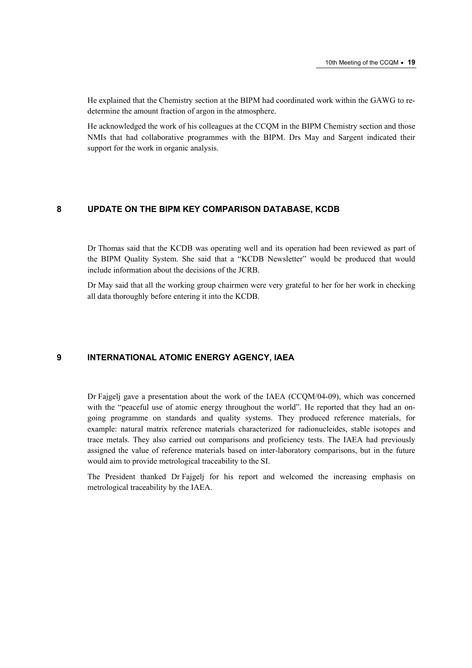He explained that the Chemistry section at the BIPM had coordinated work within the GAWG to redetermine the amount fraction of argon in the atmosphere.

He acknowledged the work of his colleagues at the CCQM in the BIPM Chemistry section and those NMIs that had collaborative programmes with the BIPM. Drs May and Sargent indicated their support for the work in organic analysis.

## **8 UPDATE ON THE BIPM KEY COMPARISON DATABASE, KCDB**

Dr Thomas said that the KCDB was operating well and its operation had been reviewed as part of the BIPM Quality System. She said that a "KCDB Newsletter" would be produced that would include information about the decisions of the JCRB.

Dr May said that all the working group chairmen were very grateful to her for her work in checking all data thoroughly before entering it into the KCDB.

## **9 INTERNATIONAL ATOMIC ENERGY AGENCY, IAEA**

Dr Fajgelj gave a presentation about the work of the IAEA (CCQM/04-09), which was concerned with the "peaceful use of atomic energy throughout the world". He reported that they had an ongoing programme on standards and quality systems. They produced reference materials, for example: natural matrix reference materials characterized for radionucleides, stable isotopes and trace metals. They also carried out comparisons and proficiency tests. The IAEA had previously assigned the value of reference materials based on inter-laboratory comparisons, but in the future would aim to provide metrological traceability to the SI.

The President thanked Dr Fajgelj for his report and welcomed the increasing emphasis on metrological traceability by the IAEA.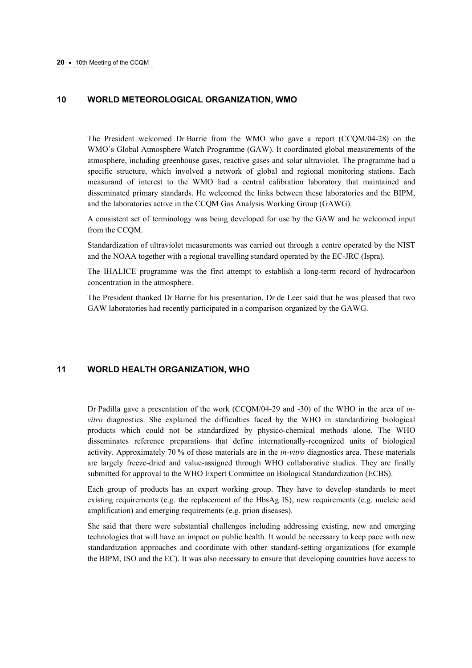## **10 WORLD METEOROLOGICAL ORGANIZATION, WMO**

The President welcomed Dr Barrie from the WMO who gave a report (CCQM/04-28) on the WMO's Global Atmosphere Watch Programme (GAW). It coordinated global measurements of the atmosphere, including greenhouse gases, reactive gases and solar ultraviolet. The programme had a specific structure, which involved a network of global and regional monitoring stations. Each measurand of interest to the WMO had a central calibration laboratory that maintained and disseminated primary standards. He welcomed the links between these laboratories and the BIPM, and the laboratories active in the CCQM Gas Analysis Working Group (GAWG).

A consistent set of terminology was being developed for use by the GAW and he welcomed input from the CCQM.

Standardization of ultraviolet measurements was carried out through a centre operated by the NIST and the NOAA together with a regional travelling standard operated by the EC-JRC (Ispra).

The IHALICE programme was the first attempt to establish a long-term record of hydrocarbon concentration in the atmosphere.

The President thanked Dr Barrie for his presentation. Dr de Leer said that he was pleased that two GAW laboratories had recently participated in a comparison organized by the GAWG.

## **11 WORLD HEALTH ORGANIZATION, WHO**

Dr Padilla gave a presentation of the work (CCQM/04-29 and -30) of the WHO in the area of *invitro* diagnostics. She explained the difficulties faced by the WHO in standardizing biological products which could not be standardized by physico-chemical methods alone. The WHO disseminates reference preparations that define internationally-recognized units of biological activity. Approximately 70 % of these materials are in the *in-vitro* diagnostics area. These materials are largely freeze-dried and value-assigned through WHO collaborative studies. They are finally submitted for approval to the WHO Expert Committee on Biological Standardization (ECBS).

Each group of products has an expert working group. They have to develop standards to meet existing requirements (e.g. the replacement of the HbsAg IS), new requirements (e.g. nucleic acid amplification) and emerging requirements (e.g. prion diseases).

She said that there were substantial challenges including addressing existing, new and emerging technologies that will have an impact on public health. It would be necessary to keep pace with new standardization approaches and coordinate with other standard-setting organizations (for example the BIPM, ISO and the EC). It was also necessary to ensure that developing countries have access to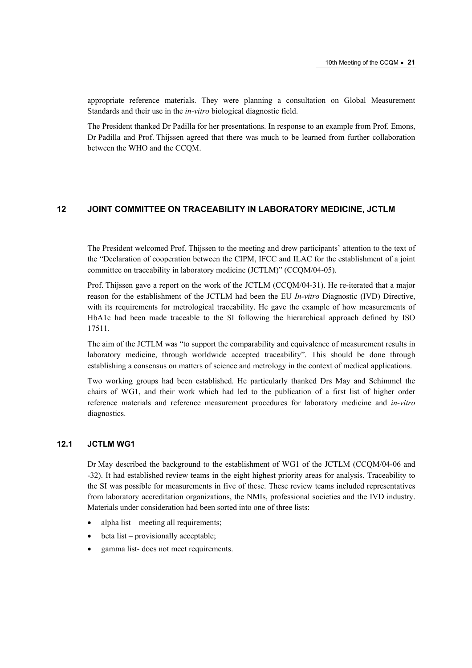appropriate reference materials. They were planning a consultation on Global Measurement Standards and their use in the *in-vitro* biological diagnostic field.

The President thanked Dr Padilla for her presentations. In response to an example from Prof. Emons, Dr Padilla and Prof. Thijssen agreed that there was much to be learned from further collaboration between the WHO and the CCQM.

## **12 JOINT COMMITTEE ON TRACEABILITY IN LABORATORY MEDICINE, JCTLM**

The President welcomed Prof. Thijssen to the meeting and drew participants' attention to the text of the "Declaration of cooperation between the CIPM, IFCC and ILAC for the establishment of a joint committee on traceability in laboratory medicine (JCTLM)" (CCQM/04-05).

Prof. Thijssen gave a report on the work of the JCTLM (CCQM/04-31). He re-iterated that a major reason for the establishment of the JCTLM had been the EU *In-vitro* Diagnostic (IVD) Directive, with its requirements for metrological traceability. He gave the example of how measurements of HbA1c had been made traceable to the SI following the hierarchical approach defined by ISO 17511.

The aim of the JCTLM was "to support the comparability and equivalence of measurement results in laboratory medicine, through worldwide accepted traceability". This should be done through establishing a consensus on matters of science and metrology in the context of medical applications.

Two working groups had been established. He particularly thanked Drs May and Schimmel the chairs of WG1, and their work which had led to the publication of a first list of higher order reference materials and reference measurement procedures for laboratory medicine and *in-vitro* diagnostics.

## **12.1 JCTLM WG1**

Dr May described the background to the establishment of WG1 of the JCTLM (CCQM/04-06 and -32). It had established review teams in the eight highest priority areas for analysis. Traceability to the SI was possible for measurements in five of these. These review teams included representatives from laboratory accreditation organizations, the NMIs, professional societies and the IVD industry. Materials under consideration had been sorted into one of three lists:

- alpha list meeting all requirements;
- beta list provisionally acceptable;
- gamma list- does not meet requirements.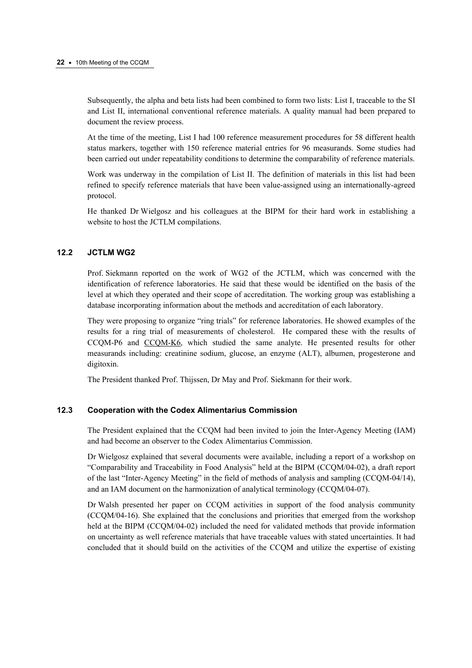Subsequently, the alpha and beta lists had been combined to form two lists: List I, traceable to the SI and List II, international conventional reference materials. A quality manual had been prepared to document the review process.

At the time of the meeting, List I had 100 reference measurement procedures for 58 different health status markers, together with 150 reference material entries for 96 measurands. Some studies had been carried out under repeatability conditions to determine the comparability of reference materials.

Work was underway in the compilation of List II. The definition of materials in this list had been refined to specify reference materials that have been value-assigned using an internationally-agreed protocol.

He thanked Dr Wielgosz and his colleagues at the BIPM for their hard work in establishing a website to host the JCTLM compilations.

## **12.2 JCTLM WG2**

Prof. Siekmann reported on the work of WG2 of the JCTLM, which was concerned with the identification of reference laboratories. He said that these would be identified on the basis of the level at which they operated and their scope of accreditation. The working group was establishing a database incorporating information about the methods and accreditation of each laboratory.

They were proposing to organize "ring trials" for reference laboratories. He showed examples of the results for a ring trial of measurements of cholesterol. He compared these with the results of CCQM-P6 and [CCQM-K6, w](http://kcdb.bipm.org/AppendixB/KCDB_ApB_info.asp?cmp_idy=157&cmp_cod=CCQM%2DK6&page=1&search=2&cmp_cod_search=CCQM%2DK6&met_idy=&bra_idy=&epo_idy=&cmt_idy=&ett_idy_org=&lab_idy=)hich studied the same analyte. He presented results for other measurands including: creatinine sodium, glucose, an enzyme (ALT), albumen, progesterone and digitoxin.

The President thanked Prof. Thijssen, Dr May and Prof. Siekmann for their work.

## **12.3 Cooperation with the Codex Alimentarius Commission**

The President explained that the CCQM had been invited to join the Inter-Agency Meeting (IAM) and had become an observer to the Codex Alimentarius Commission.

Dr Wielgosz explained that several documents were available, including a report of a workshop on "Comparability and Traceability in Food Analysis" held at the BIPM (CCQM/04-02), a draft report of the last "Inter-Agency Meeting" in the field of methods of analysis and sampling (CCQM-04/14), and an IAM document on the harmonization of analytical terminology (CCQM/04-07).

Dr Walsh presented her paper on CCQM activities in support of the food analysis community (CCQM/04-16). She explained that the conclusions and priorities that emerged from the workshop held at the BIPM (CCOM/04-02) included the need for validated methods that provide information on uncertainty as well reference materials that have traceable values with stated uncertainties. It had concluded that it should build on the activities of the CCQM and utilize the expertise of existing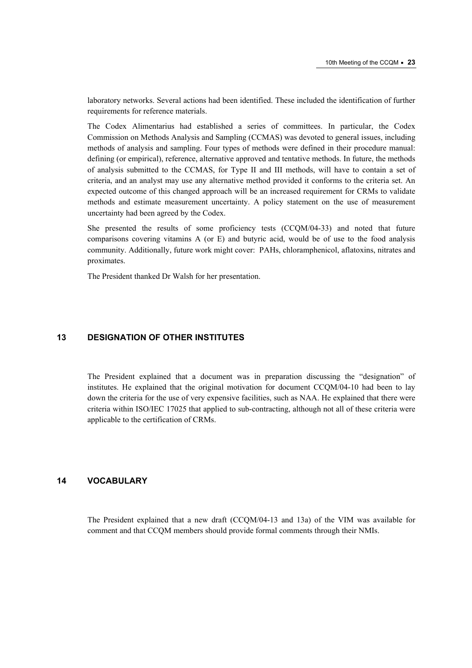laboratory networks. Several actions had been identified. These included the identification of further requirements for reference materials.

The Codex Alimentarius had established a series of committees. In particular, the Codex Commission on Methods Analysis and Sampling (CCMAS) was devoted to general issues, including methods of analysis and sampling. Four types of methods were defined in their procedure manual: defining (or empirical), reference, alternative approved and tentative methods. In future, the methods of analysis submitted to the CCMAS, for Type II and III methods, will have to contain a set of criteria, and an analyst may use any alternative method provided it conforms to the criteria set. An expected outcome of this changed approach will be an increased requirement for CRMs to validate methods and estimate measurement uncertainty. A policy statement on the use of measurement uncertainty had been agreed by the Codex.

She presented the results of some proficiency tests (CCQM/04-33) and noted that future comparisons covering vitamins A (or E) and butyric acid, would be of use to the food analysis community. Additionally, future work might cover: PAHs, chloramphenicol, aflatoxins, nitrates and proximates.

The President thanked Dr Walsh for her presentation.

## **13 DESIGNATION OF OTHER INSTITUTES**

The President explained that a document was in preparation discussing the "designation" of institutes. He explained that the original motivation for document CCQM/04-10 had been to lay down the criteria for the use of very expensive facilities, such as NAA. He explained that there were criteria within ISO/IEC 17025 that applied to sub-contracting, although not all of these criteria were applicable to the certification of CRMs.

#### **14 VOCABULARY**

The President explained that a new draft (CCQM/04-13 and 13a) of the VIM was available for comment and that CCQM members should provide formal comments through their NMIs.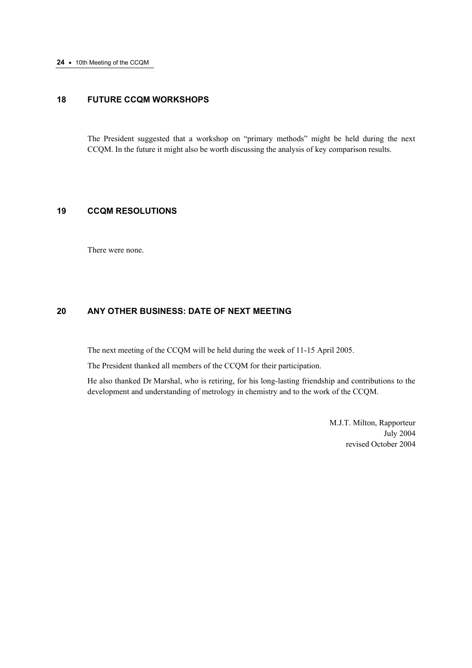# **18 FUTURE CCQM WORKSHOPS**

The President suggested that a workshop on "primary methods" might be held during the next CCQM. In the future it might also be worth discussing the analysis of key comparison results.

# **19 CCQM RESOLUTIONS**

There were none.

# **20 ANY OTHER BUSINESS: DATE OF NEXT MEETING**

The next meeting of the CCQM will be held during the week of 11-15 April 2005.

The President thanked all members of the CCQM for their participation.

He also thanked Dr Marshal, who is retiring, for his long-lasting friendship and contributions to the development and understanding of metrology in chemistry and to the work of the CCQM.

 M.J.T. Milton, Rapporteur July 2004 revised October 2004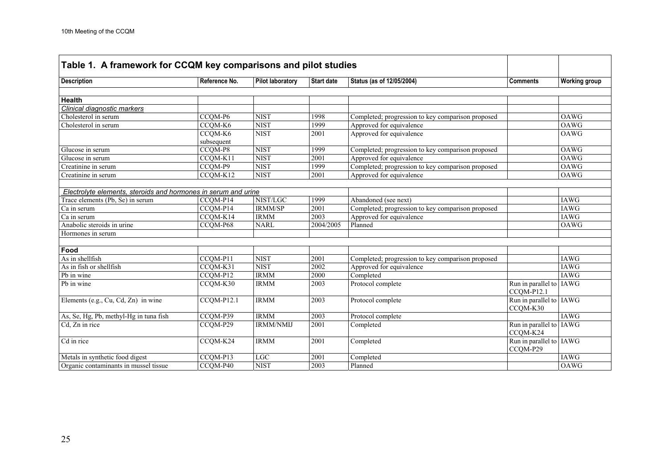| Table 1. A framework for CCQM key comparisons and pilot studies |                        |                         |                   |                                                   |                                         |                      |
|-----------------------------------------------------------------|------------------------|-------------------------|-------------------|---------------------------------------------------|-----------------------------------------|----------------------|
| <b>Description</b>                                              | Reference No.          | <b>Pilot laboratory</b> | <b>Start date</b> | Status (as of 12/05/2004)                         | <b>Comments</b>                         | <b>Working group</b> |
|                                                                 |                        |                         |                   |                                                   |                                         |                      |
| <b>Health</b>                                                   |                        |                         |                   |                                                   |                                         |                      |
| Clinical diagnostic markers                                     |                        |                         |                   |                                                   |                                         |                      |
| Cholesterol in serum                                            | CCQM-P6                | <b>NIST</b>             | 1998              | Completed; progression to key comparison proposed |                                         | <b>OAWG</b>          |
| Cholesterol in serum                                            | CCQM-K6                | <b>NIST</b>             | 1999              | Approved for equivalence                          |                                         | OAWG                 |
|                                                                 | CCQM-K6                | <b>NIST</b>             | 2001              | Approved for equivalence                          |                                         | <b>OAWG</b>          |
|                                                                 | subsequent             |                         |                   |                                                   |                                         |                      |
| Glucose in serum                                                | CCOM-P8                | <b>NIST</b>             | 1999              | Completed; progression to key comparison proposed |                                         | <b>OAWG</b>          |
| Glucose in serum                                                | CCQM-K11               | <b>NIST</b>             | 2001              | Approved for equivalence                          |                                         | <b>OAWG</b>          |
| Creatinine in serum                                             | CCQM-P9                | <b>NIST</b>             | 1999              | Completed; progression to key comparison proposed |                                         | <b>OAWG</b>          |
| Creatinine in serum                                             | CCQM-K12               | <b>NIST</b>             | 2001              | Approved for equivalence                          |                                         | <b>OAWG</b>          |
|                                                                 |                        |                         |                   |                                                   |                                         |                      |
| Electrolyte elements, steroids and hormones in serum and urine  |                        |                         |                   |                                                   |                                         |                      |
| Trace elements (Pb, Se) in serum                                | CCQM-P14               | NIST/LGC                | 1999              | Abandoned (see next)                              |                                         | <b>IAWG</b>          |
| Ca in serum                                                     | CCQM-P14               | <b>IRMM/SP</b>          | 2001              | Completed; progression to key comparison proposed |                                         | <b>IAWG</b>          |
| Ca in serum                                                     | CCQM-K14               | <b>IRMM</b>             | $\overline{2003}$ | Approved for equivalence                          |                                         | <b>IAWG</b>          |
| Anabolic steroids in urine                                      | CCQM-P68               | <b>NARL</b>             | 2004/2005         | Planned                                           |                                         | OAWG                 |
| Hormones in serum                                               |                        |                         |                   |                                                   |                                         |                      |
|                                                                 |                        |                         |                   |                                                   |                                         |                      |
| Food                                                            |                        |                         |                   |                                                   |                                         |                      |
| As in shellfish                                                 | CCQM-P11               | <b>NIST</b>             | 2001              | Completed; progression to key comparison proposed |                                         | <b>IAWG</b>          |
| As in fish or shellfish                                         | CCQM-K31               | <b>NIST</b>             | 2002              | Approved for equivalence                          |                                         | <b>IAWG</b>          |
| Pb in wine                                                      | CCQM-P12               | <b>IRMM</b>             | 2000              | Completed                                         |                                         | <b>IAWG</b>          |
| Pb in wine                                                      | CCQM-K30               | <b>IRMM</b>             | 2003              | Protocol complete                                 | Run in parallel to   IAWG<br>CCQM-P12.1 |                      |
| Elements (e.g., Cu, Cd, Zn) in wine                             | CCQM-P12.1             | <b>IRMM</b>             | 2003              | Protocol complete                                 | Run in parallel to IAWG<br>CCQM-K30     |                      |
| As, Se, Hg, Pb, methyl-Hg in tuna fish                          | CCQM-P39               | <b>IRMM</b>             | $\overline{2003}$ | Protocol complete                                 |                                         | <b>IAWG</b>          |
| Cd, Zn in rice                                                  | CCQM-P29               | <b>IRMM/NMIJ</b>        | 2001              | Completed                                         | Run in parallel to   IAWG<br>CCQM-K24   |                      |
| Cd in rice                                                      | CCQM-K24               | <b>IRMM</b>             | 2001              | Completed                                         | Run in parallel to IAWG<br>CCQM-P29     |                      |
| Metals in synthetic food digest                                 | CCOM-P13               | <b>LGC</b>              | 2001              | Completed                                         |                                         | <b>IAWG</b>          |
| Organic contaminants in mussel tissue                           | $\overline{CCQM}$ -P40 | <b>NIST</b>             | 2003              | Planned                                           |                                         | <b>OAWG</b>          |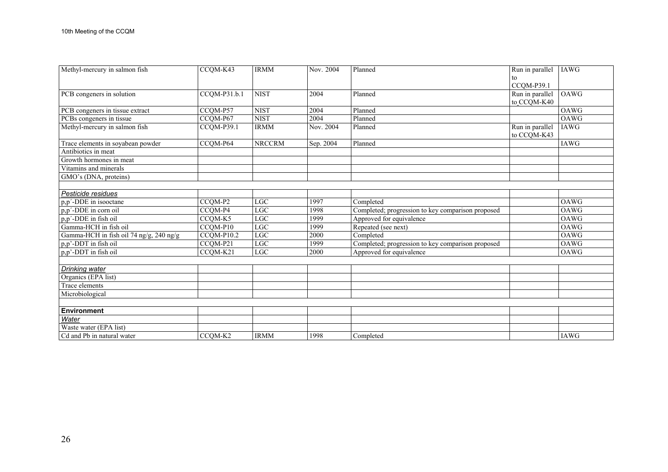| Methyl-mercury in salmon fish           | CCQM-K43                          | <b>IRMM</b>   | Nov. 2004 | Planned                                           | Run in parallel | <b>IAWG</b> |
|-----------------------------------------|-----------------------------------|---------------|-----------|---------------------------------------------------|-----------------|-------------|
|                                         |                                   |               |           |                                                   | to              |             |
|                                         |                                   |               |           |                                                   | CCQM-P39.1      |             |
| PCB congeners in solution               | $CCQM-P31.b.1$                    | <b>NIST</b>   | 2004      | Planned                                           | Run in parallel | OAWG        |
|                                         |                                   |               |           |                                                   | to_CCQM-K40     |             |
| PCB congeners in tissue extract         | CCOM-P57                          | <b>NIST</b>   | 2004      | Planned                                           |                 | <b>OAWG</b> |
| PCBs congeners in tissue                | CCQM-P67                          | <b>NIST</b>   | 2004      | Planned                                           |                 | OAWG        |
| Methyl-mercury in salmon fish           | CCQM-P39.1                        | <b>IRMM</b>   | Nov. 2004 | Planned                                           | Run in parallel | <b>IAWG</b> |
|                                         |                                   |               |           |                                                   | to CCQM-K43     |             |
| Trace elements in soyabean powder       | $\overline{CC}$ QM-P64            | <b>NRCCRM</b> | Sep. 2004 | Planned                                           |                 | <b>IAWG</b> |
| Antibiotics in meat                     |                                   |               |           |                                                   |                 |             |
| Growth hormones in meat                 |                                   |               |           |                                                   |                 |             |
| Vitamins and minerals                   |                                   |               |           |                                                   |                 |             |
| GMO's (DNA, proteins)                   |                                   |               |           |                                                   |                 |             |
|                                         |                                   |               |           |                                                   |                 |             |
| Pesticide residues                      |                                   |               |           |                                                   |                 |             |
| p,p'-DDE in isooctane                   | CCOM-P2                           | <b>LGC</b>    | 1997      | Completed                                         |                 | OAWG        |
| p,p'-DDE in corn oil                    | CCQM-P4                           | LGC           | 1998      | Completed; progression to key comparison proposed |                 | OAWG        |
| p,p'-DDE in fish oil                    | CCQM-K5                           | LG            | 1999      | Approved for equivalence                          |                 | <b>OAWG</b> |
| Gamma-HCH in fish oil                   | CCQM-P10                          | LGC           | 1999      | Repeated (see next)                               |                 | <b>OAWG</b> |
| Gamma-HCH in fish oil 74 ng/g, 240 ng/g | CCOM-P10.2                        | <b>LGC</b>    | 2000      | Completed                                         |                 | <b>OAWG</b> |
| p,p'-DDT in fish oil                    | CCQM-P21                          | LG            | 1999      | Completed; progression to key comparison proposed |                 | OAWG        |
| p,p'-DDT in fish oil                    | CCQM-K21                          | LGC           | 2000      | Approved for equivalence                          |                 | OAWG        |
|                                         |                                   |               |           |                                                   |                 |             |
| Drinking water                          |                                   |               |           |                                                   |                 |             |
| Organics (EPA list)                     |                                   |               |           |                                                   |                 |             |
| Trace elements                          |                                   |               |           |                                                   |                 |             |
| Microbiological                         |                                   |               |           |                                                   |                 |             |
|                                         |                                   |               |           |                                                   |                 |             |
| <b>Environment</b>                      |                                   |               |           |                                                   |                 |             |
| Water                                   |                                   |               |           |                                                   |                 |             |
| Waste water (EPA list)                  |                                   |               |           |                                                   |                 |             |
| Cd and Pb in natural water              | $\overline{CC}$ QM-K <sub>2</sub> | <b>IRMM</b>   | 1998      | Completed                                         |                 | <b>IAWG</b> |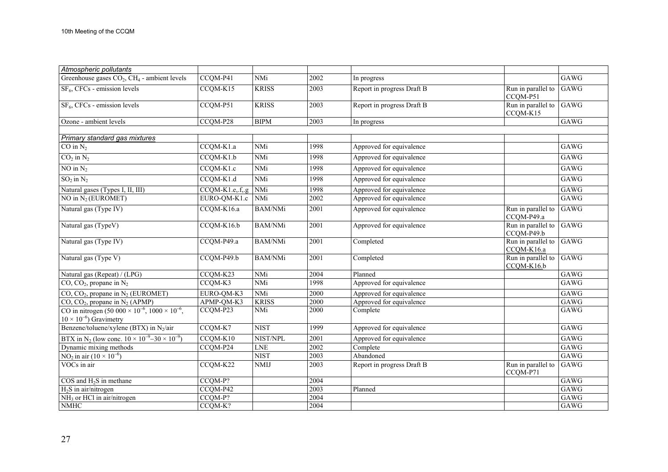| Atmospheric pollutants                                                                             |                     |                         |               |                            |                                       |             |
|----------------------------------------------------------------------------------------------------|---------------------|-------------------------|---------------|----------------------------|---------------------------------------|-------------|
| Greenhouse gases $CO2$ , $CH4$ - ambient levels                                                    | CCQM-P41            | NMi                     | 2002          | In progress                |                                       | GAWG        |
| SF <sub>6</sub> , CFCs - emission levels                                                           | CCQM-K15            | <b>KRISS</b>            | 2003          | Report in progress Draft B | Run in parallel to<br>CCQM-P51        | GAWG        |
| $SF6$ , CFCs - emission levels                                                                     | CCQM-P51            | <b>KRISS</b>            | 2003          | Report in progress Draft B | Run in parallel to GAWG<br>CCQM-K15   |             |
| Ozone - ambient levels                                                                             | CCQM-P28            | <b>BIPM</b>             | 2003          | In progress                |                                       | GAWG        |
|                                                                                                    |                     |                         |               |                            |                                       |             |
| Primary standard gas mixtures                                                                      | CCQM-K1.a           | <b>NMi</b>              | 1998          |                            |                                       | GAWG        |
| $CO$ in $N_2$                                                                                      |                     |                         |               | Approved for equivalence   |                                       |             |
| $\overline{CO_2}$ in $\overline{N_2}$                                                              | CCQM-K1.b           | NMi                     | 1998          | Approved for equivalence   |                                       | GAWG        |
| NO in $N_2$                                                                                        | CCQM-K1.c           | <b>NMi</b>              | 1998          | Approved for equivalence   |                                       | GAWG        |
| $SO_2$ in $N_2$                                                                                    | $CCQM-K1.d$         | <b>NMi</b>              | 1998          | Approved for equivalence   |                                       | GAWG        |
| Natural gases (Types I, II, III)                                                                   | $CCQM-K1.e., f., g$ | <b>NMi</b>              | 1998          | Approved for equivalence   |                                       | GAWG        |
| NO in $N_2$ (EUROMET)                                                                              | EURO-QM-K1.c        | NMi                     | 2002          | Approved for equivalence   |                                       | GAWG        |
| Natural gas (Type IV)                                                                              | CCQM-K16.a          | <b>BAM/NMi</b>          | 2001          | Approved for equivalence   | Run in parallel to<br>CCQM-P49.a      | GAWG        |
| Natural gas (TypeV)                                                                                | CCQM-K16.b          | <b>BAM/NMi</b>          | 2001          | Approved for equivalence   | Run in parallel to GAWG<br>CCQM-P49.b |             |
| Natural gas (Type IV)                                                                              | CCQM-P49.a          | <b>BAM/NMi</b>          | 2001          | Completed                  | Run in parallel to GAWG<br>CCQM-K16.a |             |
| Natural gas (Type V)                                                                               | CCQM-P49.b          | <b>BAM/NMi</b>          | 2001          | Completed                  | Run in parallel to GAWG<br>CCQM-K16.b |             |
| Natural gas (Repeat) / (LPG)                                                                       | CCQM-K23            | <b>NMi</b>              | 2004          | Planned                    |                                       | GAWG        |
| $CO$ , $CO2$ , propane in $N2$                                                                     | CCQM-K3             | NMi                     | 1998          | Approved for equivalence   |                                       | GAWG        |
| $CO$ , $CO2$ , propane in N <sub>2</sub> (EUROMET)                                                 | EURO-QM-K3          | <b>NMi</b>              | 2000          | Approved for equivalence   |                                       | GAWG        |
| $CO$ , $CO2$ , propane in N <sub>2</sub> (APMP)                                                    | APMP-QM-K3          | <b>KRISS</b>            | 2000          | Approved for equivalence   |                                       | GAWG        |
| CO in nitrogen $(50\ 000 \times 10^{-6}, 1000 \times 10^{-6})$<br>$10 \times 10^{-6}$ ) Gravimetry | CCQM-P23            | <b>NMi</b>              | 2000          | Complete                   |                                       | GAWG        |
| Benzene/toluene/xylene (BTX) in N2/air                                                             | CCQM-K7             | <b>NIST</b>             | 1999          | Approved for equivalence   |                                       | GAWG        |
| BTX in N <sub>2</sub> (low conc. $10 \times 10^{-9} - 30 \times 10^{-9}$ )                         | CCQM-K10            | NIST/NPL                | 2001          | Approved for equivalence   |                                       | GAWG        |
| Dynamic mixing methods                                                                             | CCQM-P24            | <b>LNE</b>              | 2002          | Complete                   |                                       | GAWG        |
| NO <sub>2</sub> in air $(10 \times 10^{-6})$                                                       |                     | <b>NIST</b>             | 2003          | Abandoned                  |                                       | GAWG        |
| VOCs in air                                                                                        | CCQM-K22            | $\overline{\text{NMI}}$ | $\sqrt{2003}$ | Report in progress Draft B | Run in parallel to<br>CCQM-P71        | GAWG        |
| $COS$ and $H_2S$ in methane                                                                        | CCQM-P?             |                         | 2004          |                            |                                       | <b>GAWG</b> |
| $H_2S$ in air/nitrogen                                                                             | CCQM-P42            |                         | 2003          | Planned                    |                                       | GAWG        |
| $NH3$ or HCl in air/nitrogen                                                                       | CCQM-P?             |                         | 2004          |                            |                                       | <b>GAWG</b> |
| <b>NMHC</b>                                                                                        | CCQM-K?             |                         | 2004          |                            |                                       | GAWG        |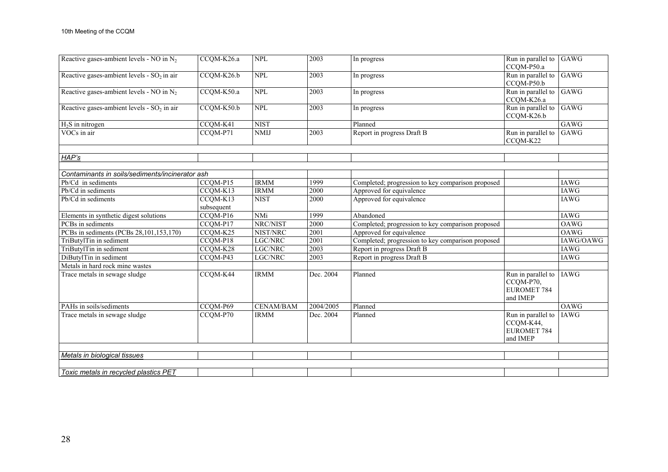| Reactive gases-ambient levels - NO in $N_2$     | CCQM-K26.a             | <b>NPL</b>       | 2003             | In progress                                       | Run in parallel to GAWG<br>CCQM-P50.a                             |             |
|-------------------------------------------------|------------------------|------------------|------------------|---------------------------------------------------|-------------------------------------------------------------------|-------------|
| Reactive gases-ambient levels - $SO2$ in air    | CCQM-K26.b             | <b>NPL</b>       | 2003             | In progress                                       | Run in parallel to GAWG<br>CCQM-P50.b                             |             |
| Reactive gases-ambient levels - NO in $N_2$     | CCQM-K50.a             | <b>NPL</b>       | 2003             | In progress                                       | Run in parallel to<br>CCQM-K26.a                                  | GAWG        |
| Reactive gases-ambient levels - $SO2$ in air    | CCQM-K50.b             | <b>NPL</b>       | 2003             | In progress                                       | Run in parallel to GAWG<br>CCQM-K26.b                             |             |
| $H2S$ in nitrogen                               | CCQM-K41               | <b>NIST</b>      |                  | Planned                                           |                                                                   | GAWG        |
| VOCs in air                                     | CCQM-P71               | <b>NMIJ</b>      | 2003             | Report in progress Draft B                        | Run in parallel to<br>CCOM-K22                                    | GAWG        |
| HAP's                                           |                        |                  |                  |                                                   |                                                                   |             |
| Contaminants in soils/sediments/incinerator ash |                        |                  |                  |                                                   |                                                                   |             |
| Pb/Cd in sediments                              | CCQM-P15               | <b>IRMM</b>      | 1999             | Completed; progression to key comparison proposed |                                                                   | <b>IAWG</b> |
| Pb/Cd in sediments                              | CCQM-K13               | <b>IRMM</b>      | $\frac{2000}{ }$ | Approved for equivalence                          |                                                                   | <b>IAWG</b> |
| Pb/Cd in sediments                              | CCQM-K13<br>subsequent | <b>NIST</b>      | 2000             | Approved for equivalence                          |                                                                   | <b>IAWG</b> |
| Elements in synthetic digest solutions          | CCQM-P16               | NMi              | 1999             | Abandoned                                         |                                                                   | IAWG        |
| PCBs in sediments                               | CCQM-P17               | NRC/NIST         | $\frac{2000}{ }$ | Completed; progression to key comparison proposed |                                                                   | <b>OAWG</b> |
| PCBs in sediments (PCBs 28,101,153,170)         | CCQM-K25               | NIST/NRC         | 2001             | Approved for equivalence                          |                                                                   | <b>OAWG</b> |
| TriButylTin in sediment                         | CCQM-P18               | LGC/NRC          | 2001             | Completed; progression to key comparison proposed |                                                                   | IAWG/OAWG   |
| TriButylTin in sediment                         | CCQM-K28               | LGC/NRC          | 2003             | Report in progress Draft B                        |                                                                   | <b>IAWG</b> |
| DiButylTin in sediment                          | CCQM-P43               | LGC/NRC          | 2003             | Report in progress Draft B                        |                                                                   | <b>IAWG</b> |
| Metals in hard rock mine wastes                 |                        |                  |                  |                                                   |                                                                   |             |
| Trace metals in sewage sludge                   | CCQM-K44               | <b>IRMM</b>      | Dec. 2004        | Planned                                           | Run in parallel to<br>CCQM-P70,<br><b>EUROMET 784</b><br>and IMEP | <b>IAWG</b> |
| PAHs in soils/sediments                         | CCQM-P69               | <b>CENAM/BAM</b> | 2004/2005        | Planned                                           |                                                                   | OAWG        |
| Trace metals in sewage sludge                   | CCQM-P70               | <b>IRMM</b>      | Dec. 2004        | Planned                                           | Run in parallel to<br>CCQM-K44,<br><b>EUROMET 784</b><br>and IMEP | <b>IAWG</b> |
|                                                 |                        |                  |                  |                                                   |                                                                   |             |
| Metals in biological tissues                    |                        |                  |                  |                                                   |                                                                   |             |
| Toxic metals in recycled plastics PET           |                        |                  |                  |                                                   |                                                                   |             |
|                                                 |                        |                  |                  |                                                   |                                                                   |             |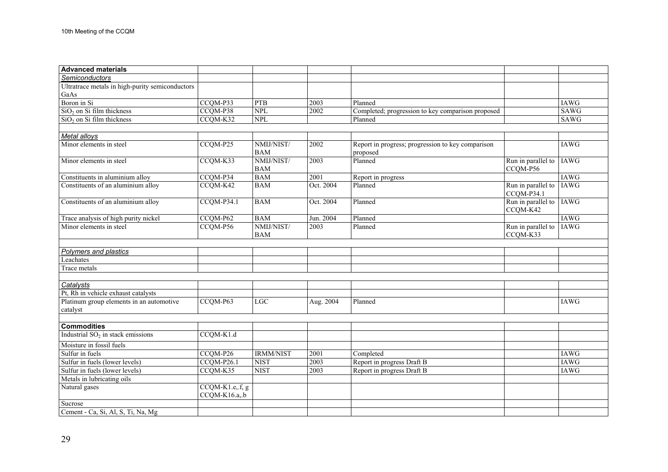| <b>Advanced materials</b>                            |                                  |                          |           |                                                               |                                  |             |
|------------------------------------------------------|----------------------------------|--------------------------|-----------|---------------------------------------------------------------|----------------------------------|-------------|
| <b>Semiconductors</b>                                |                                  |                          |           |                                                               |                                  |             |
| Ultratrace metals in high-purity semiconductors      |                                  |                          |           |                                                               |                                  |             |
| GaAs                                                 |                                  |                          |           |                                                               |                                  |             |
| Boron in Si                                          | CCQM-P33                         | <b>PTB</b>               | 2003      | Planned                                                       |                                  | IAWG        |
| $SiO2$ on Si film thickness                          | CCQM-P38                         | <b>NPL</b>               | 2002      | Completed; progression to key comparison proposed             |                                  | SAWG        |
| $SiO2$ on Si film thickness                          | CCQM-K32                         | <b>NPL</b>               |           | Planned                                                       |                                  | <b>SAWG</b> |
| Metal alloys                                         |                                  |                          |           |                                                               |                                  |             |
| Minor elements in steel                              | CCQM-P25                         | NMIJ/NIST/<br><b>BAM</b> | 2002      | Report in progress; progression to key comparison<br>proposed |                                  | IAWG        |
| Minor elements in steel                              | CCQM-K33                         | NMIJ/NIST/<br><b>BAM</b> | 2003      | Planned                                                       | Run in parallel to<br>CCQM-P56   | <b>IAWG</b> |
| Constituents in aluminium alloy                      | CCQM-P34                         | <b>BAM</b>               | 2001      | Report in progress                                            |                                  | <b>IAWG</b> |
| Constituents of an aluminium alloy                   | CCQM-K42                         | <b>BAM</b>               | Oct. 2004 | Planned                                                       | Run in parallel to<br>CCQM-P34.1 | <b>IAWG</b> |
| Constituents of an aluminium alloy                   | $CCQM-P34.1$                     | <b>BAM</b>               | Oct. 2004 | Planned                                                       | Run in parallel to<br>CCQM-K42   | <b>IAWG</b> |
| Trace analysis of high purity nickel                 | CCQM-P62                         | <b>BAM</b>               | Jun. 2004 | Planned                                                       |                                  | <b>IAWG</b> |
| Minor elements in steel                              | CCQM-P56                         | NMIJ/NIST/<br><b>BAM</b> | 2003      | Planned                                                       | Run in parallel to<br>CCQM-K33   | <b>IAWG</b> |
| Polymers and plastics                                |                                  |                          |           |                                                               |                                  |             |
| Leachates                                            |                                  |                          |           |                                                               |                                  |             |
| Trace metals                                         |                                  |                          |           |                                                               |                                  |             |
|                                                      |                                  |                          |           |                                                               |                                  |             |
| Catalysts                                            |                                  |                          |           |                                                               |                                  |             |
| Pt, Rh in vehicle exhaust catalysts                  |                                  | LGC                      |           | Planned                                                       |                                  | <b>IAWG</b> |
| Platinum group elements in an automotive<br>catalyst | CCQM-P63                         |                          | Aug. 2004 |                                                               |                                  |             |
| <b>Commodities</b>                                   |                                  |                          |           |                                                               |                                  |             |
| Industrial $SO2$ in stack emissions                  | $CCQM-K1.d$                      |                          |           |                                                               |                                  |             |
| Moisture in fossil fuels                             |                                  |                          |           |                                                               |                                  |             |
| Sulfur in fuels                                      | CCQM-P26                         | <b>IRMM/NIST</b>         | 2001      | Completed                                                     |                                  | <b>IAWG</b> |
| Sulfur in fuels (lower levels)                       | $CCQM-P26.1$                     | <b>NIST</b>              | 2003      | Report in progress Draft B                                    |                                  | <b>IAWG</b> |
| Sulfur in fuels (lower levels)                       | CCQM-K35                         | <b>NIST</b>              | 2003      | Report in progress Draft B                                    |                                  | IAWG        |
| Metals in lubricating oils                           |                                  |                          |           |                                                               |                                  |             |
| Natural gases                                        | CCQM-K1.e,.f, g<br>CCQM-K16.a,.b |                          |           |                                                               |                                  |             |
| Sucrose                                              |                                  |                          |           |                                                               |                                  |             |
| Cement - Ca, Si, Al, S, Ti, Na, Mg                   |                                  |                          |           |                                                               |                                  |             |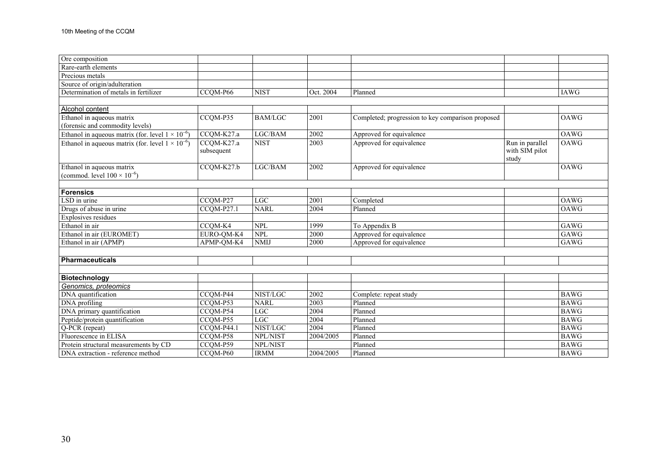| Ore composition                                            |                          |                |           |                                                   |                                   |             |
|------------------------------------------------------------|--------------------------|----------------|-----------|---------------------------------------------------|-----------------------------------|-------------|
| Rare-earth elements                                        |                          |                |           |                                                   |                                   |             |
| Precious metals                                            |                          |                |           |                                                   |                                   |             |
| Source of origin/adulteration                              |                          |                |           |                                                   |                                   |             |
| Determination of metals in fertilizer                      | CCQM-P66                 | <b>NIST</b>    | Oct. 2004 | Planned                                           |                                   | <b>IAWG</b> |
|                                                            |                          |                |           |                                                   |                                   |             |
| Alcohol content                                            |                          |                |           |                                                   |                                   |             |
| Ethanol in aqueous matrix                                  | CCQM-P35                 | <b>BAM/LGC</b> | 2001      | Completed; progression to key comparison proposed |                                   | <b>OAWG</b> |
| (forensic and commodity levels)                            |                          |                |           |                                                   |                                   |             |
| Ethanol in aqueous matrix (for. level $1 \times 10^{-6}$ ) | CCQM-K27.a               | LGC/BAM        | 2002      | Approved for equivalence                          |                                   | OAWG        |
| Ethanol in aqueous matrix (for. level $1 \times 10^{-6}$ ) | CCQM-K27.a<br>subsequent | <b>NIST</b>    | 2003      | Approved for equivalence                          | Run in parallel<br>with SIM pilot | <b>OAWG</b> |
|                                                            |                          |                |           |                                                   | study                             |             |
| Ethanol in aqueous matrix                                  | $CCQM-K27.b$             | LGC/BAM        | 2002      | Approved for equivalence                          |                                   | <b>OAWG</b> |
| (commod. level $100 \times 10^{-6}$ )                      |                          |                |           |                                                   |                                   |             |
|                                                            |                          |                |           |                                                   |                                   |             |
| <b>Forensics</b>                                           |                          |                |           |                                                   |                                   |             |
| LSD in urine                                               | CCOM-P27                 | <b>LGC</b>     | 2001      | Completed                                         |                                   | <b>OAWG</b> |
| Drugs of abuse in urine                                    | CCQM-P27.1               | <b>NARL</b>    | 2004      | Planned                                           |                                   | OAWG        |
| Explosives residues                                        |                          |                |           |                                                   |                                   |             |
| Ethanol in air                                             | CCQM-K4                  | <b>NPL</b>     | 1999      | To Appendix B                                     |                                   | GAWG        |
| Ethanol in air (EUROMET)                                   | EURO-QM-K4               | <b>NPL</b>     | 2000      | Approved for equivalence                          |                                   | GAWG        |
| Ethanol in air (APMP)                                      | APMP-QM-K4               | <b>NMIJ</b>    | 2000      | Approved for equivalence                          |                                   | GAWG        |
|                                                            |                          |                |           |                                                   |                                   |             |
| Pharmaceuticals                                            |                          |                |           |                                                   |                                   |             |
|                                                            |                          |                |           |                                                   |                                   |             |
| <b>Biotechnology</b>                                       |                          |                |           |                                                   |                                   |             |
| Genomics, proteomics                                       |                          |                |           |                                                   |                                   |             |
| DNA quantification                                         | CCQM-P44                 | NIST/LGC       | 2002      | Complete: repeat study                            |                                   | <b>BAWG</b> |
| DNA profiling                                              | CCQM-P53                 | <b>NARL</b>    | 2003      | Planned                                           |                                   | <b>BAWG</b> |
| DNA primary quantification                                 | CCQM-P54                 | <b>LGC</b>     | 2004      | Planned                                           |                                   | <b>BAWG</b> |
| Peptide/protein quantification                             | CCQM-P55                 | LGC            | 2004      | Planned                                           |                                   | <b>BAWG</b> |
| Q-PCR (repeat)                                             | $\overline{CCQM}$ -P44.1 | NIST/LGC       | 2004      | Planned                                           |                                   | <b>BAWG</b> |
| Fluorescence in ELISA                                      | $\overline{CCQM}$ -P58   | NPL/NIST       | 2004/2005 | Planned                                           |                                   | <b>BAWG</b> |
| Protein structural measurements by CD                      | CCQM-P59                 | NPL/NIST       |           | Planned                                           |                                   | <b>BAWG</b> |
| DNA extraction - reference method                          | CCQM-P60                 | <b>IRMM</b>    | 2004/2005 | Planned                                           |                                   | <b>BAWG</b> |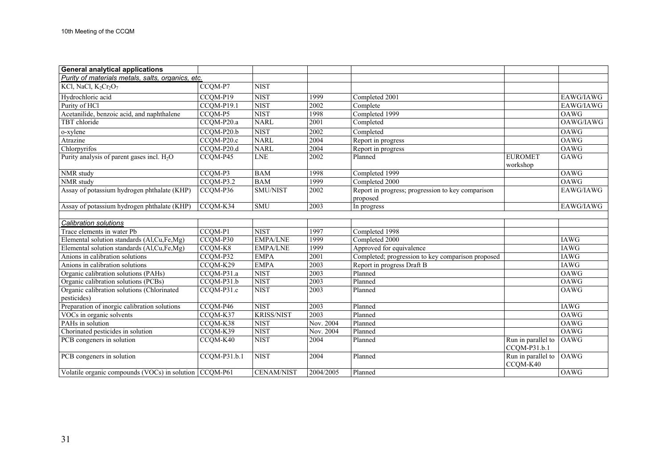| <b>General analytical applications</b>                    |              |                         |                   |                                                               |                                     |             |
|-----------------------------------------------------------|--------------|-------------------------|-------------------|---------------------------------------------------------------|-------------------------------------|-------------|
| Purity of materials metals, salts, organics, etc.         |              |                         |                   |                                                               |                                     |             |
| KCl, NaCl, $K_2Cr_2O_7$                                   | CCQM-P7      | <b>NIST</b>             |                   |                                                               |                                     |             |
| Hydrochloric acid                                         | CCQM-P19     | <b>NIST</b>             | 1999              | Completed 2001                                                |                                     | EAWG/IAWG   |
| Purity of HCl                                             | $CCQM-P19.1$ | <b>NIST</b>             | 2002              | Complete                                                      |                                     | EAWG/IAWG   |
| Acetanilide, benzoic acid, and naphthalene                | CCQM-P5      | <b>NIST</b>             | 1998              | Completed 1999                                                |                                     | <b>OAWG</b> |
| TBT chloride                                              | CCQM-P20.a   | <b>NARL</b>             | $\overline{2001}$ | Completed                                                     |                                     | OAWG/IAWG   |
| o-xylene                                                  | $CCQM-P20.b$ | <b>NIST</b>             | 2002              | Completed                                                     |                                     | OAWG        |
| Atrazine                                                  | CCQM-P20.c   | <b>NARL</b>             | 2004              | Report in progress                                            |                                     | <b>OAWG</b> |
| Chlorpyrifos                                              | CCQM-P20.d   | <b>NARL</b>             | 2004              | Report in progress                                            |                                     | <b>OAWG</b> |
| Purity analysis of parent gases incl. $H_2O$              | CCQM-P45     | <b>LNE</b>              | $\frac{2002}{ }$  | Planned                                                       | <b>EUROMET</b><br>workshop          | GAWG        |
| NMR study                                                 | CCQM-P3      | <b>BAM</b>              | 1998              | Completed 1999                                                |                                     | <b>OAWG</b> |
| NMR study                                                 | $CCQM-P3.2$  | <b>BAM</b>              | 1999              | Completed 2000                                                |                                     | OAWG        |
| Assay of potassium hydrogen phthalate (KHP)               | CCQM-P36     | SMU/NIST                | 2002              | Report in progress; progression to key comparison<br>proposed |                                     | EAWG/IAWG   |
| Assay of potassium hydrogen phthalate (KHP)               | CCQM-K34     | $\overline{\text{SMU}}$ | 2003              | In progress                                                   |                                     | EAWG/IAWG   |
|                                                           |              |                         |                   |                                                               |                                     |             |
| <b>Calibration solutions</b>                              |              |                         |                   |                                                               |                                     |             |
| Trace elements in water Pb                                | CCQM-P1      | <b>NIST</b>             | 1997              | Completed 1998                                                |                                     |             |
| Elemental solution standards (Al,Cu,Fe,Mg)                | CCQM-P30     | <b>EMPA/LNE</b>         | 1999              | Completed 2000                                                |                                     | <b>IAWG</b> |
| Elemental solution standards (Al,Cu,Fe,Mg)                | CCQM-K8      | <b>EMPA/LNE</b>         | 1999              | Approved for equivalence                                      |                                     | <b>IAWG</b> |
| Anions in calibration solutions                           | CCQM-P32     | <b>EMPA</b>             | 2001              | Completed; progression to key comparison proposed             |                                     | <b>IAWG</b> |
| Anions in calibration solutions                           | CCQM-K29     | <b>EMPA</b>             | 2003              | Report in progress Draft B                                    |                                     | <b>IAWG</b> |
| Organic calibration solutions (PAHs)                      | CCQM-P31.a   | <b>NIST</b>             | 2003              | Planned                                                       |                                     | <b>OAWG</b> |
| Organic calibration solutions (PCBs)                      | CCQM-P31.b   | <b>NIST</b>             | 2003              | Planned                                                       |                                     | <b>OAWG</b> |
| Organic calibration solutions (Chlorinated<br>pesticides) | CCQM-P31.c   | <b>NIST</b>             | $\sqrt{2003}$     | Planned                                                       |                                     | <b>OAWG</b> |
| Preparation of inorgic calibration solutions              | CCQM-P46     | <b>NIST</b>             | 2003              | Planned                                                       |                                     | <b>IAWG</b> |
| VOCs in organic solvents                                  | CCQM-K37     | <b>KRISS/NIST</b>       | 2003              | Planned                                                       |                                     | <b>OAWG</b> |
| PAHs in solution                                          | CCQM-K38     | <b>NIST</b>             | Nov. 2004         | Planned                                                       |                                     | <b>OAWG</b> |
| Chorinated pesticides in solution                         | CCQM-K39     | <b>NIST</b>             | Nov. 2004         | Planned                                                       |                                     | <b>OAWG</b> |
| PCB congeners in solution                                 | CCQM-K40     | <b>NIST</b>             | 2004              | Planned                                                       | Run in parallel to<br>CCQM-P31.b.1  | <b>OAWG</b> |
| PCB congeners in solution                                 | CCQM-P31.b.1 | <b>NIST</b>             | 2004              | Planned                                                       | Run in parallel to OAWG<br>CCQM-K40 |             |
| Volatile organic compounds (VOCs) in solution CCQM-P61    |              | <b>CENAM/NIST</b>       | 2004/2005         | Planned                                                       |                                     | OAWG        |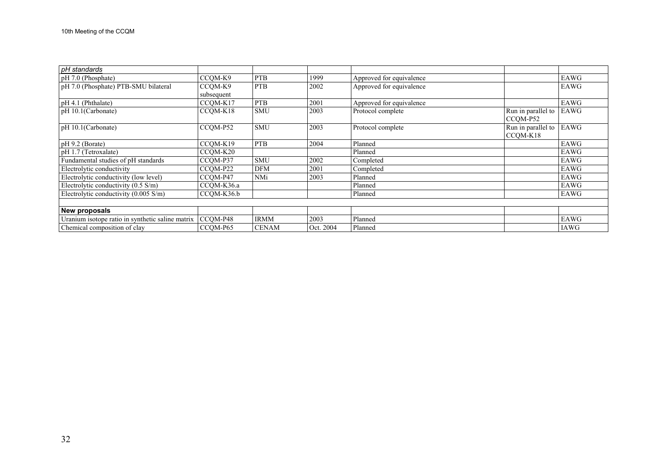| pH standards                                     |            |              |           |                          |                    |             |
|--------------------------------------------------|------------|--------------|-----------|--------------------------|--------------------|-------------|
| pH 7.0 (Phosphate)                               | CCOM-K9    | <b>PTB</b>   | 1999      | Approved for equivalence |                    | EAWG        |
| pH 7.0 (Phosphate) PTB-SMU bilateral             | CCOM-K9    | <b>PTB</b>   | 2002      | Approved for equivalence |                    | EAWG        |
|                                                  | subsequent |              |           |                          |                    |             |
| pH 4.1 (Phthalate)                               | CCQM-K17   | <b>PTB</b>   | 2001      | Approved for equivalence |                    | EAWG        |
| pH 10.1(Carbonate)                               | CCOM-K18   | <b>SMU</b>   | 2003      | Protocol complete        | Run in parallel to | EAWG        |
|                                                  |            |              |           |                          | CCOM-P52           |             |
| pH 10.1(Carbonate)                               | CCQM-P52   | <b>SMU</b>   | 2003      | Protocol complete        | Run in parallel to | EAWG        |
|                                                  |            |              |           |                          | CCOM-K18           |             |
| $pH$ 9.2 (Borate)                                | CCQM-K19   | <b>PTB</b>   | 2004      | Planned                  |                    | EAWG        |
| pH 1.7 (Tetroxalate)                             | CCOM-K20   |              |           | Planned                  |                    | EAWG        |
| Fundamental studies of pH standards              | CCQM-P37   | <b>SMU</b>   | 2002      | Completed                |                    | EAWG        |
| Electrolytic conductivity                        | CCOM-P22   | <b>DFM</b>   | 2001      | Completed                |                    | EAWG        |
| Electrolytic conductivity (low level)            | CCQM-P47   | NMi          | 2003      | Planned                  |                    | <b>EAWG</b> |
| Electrolytic conductivity $(0.5 \text{ S/m})$    | CCOM-K36.a |              |           | Planned                  |                    | EAWG        |
| Electrolytic conductivity $(0.005 S/m)$          | CCOM-K36.b |              |           | Planned                  |                    | EAWG        |
|                                                  |            |              |           |                          |                    |             |
| New proposals                                    |            |              |           |                          |                    |             |
| Uranium isotope ratio in synthetic saline matrix | $CCQM-P48$ | <b>IRMM</b>  | 2003      | Planned                  |                    | EAWG        |
| Chemical composition of clay                     | CCOM-P65   | <b>CENAM</b> | Oct. 2004 | Planned                  |                    | <b>IAWG</b> |